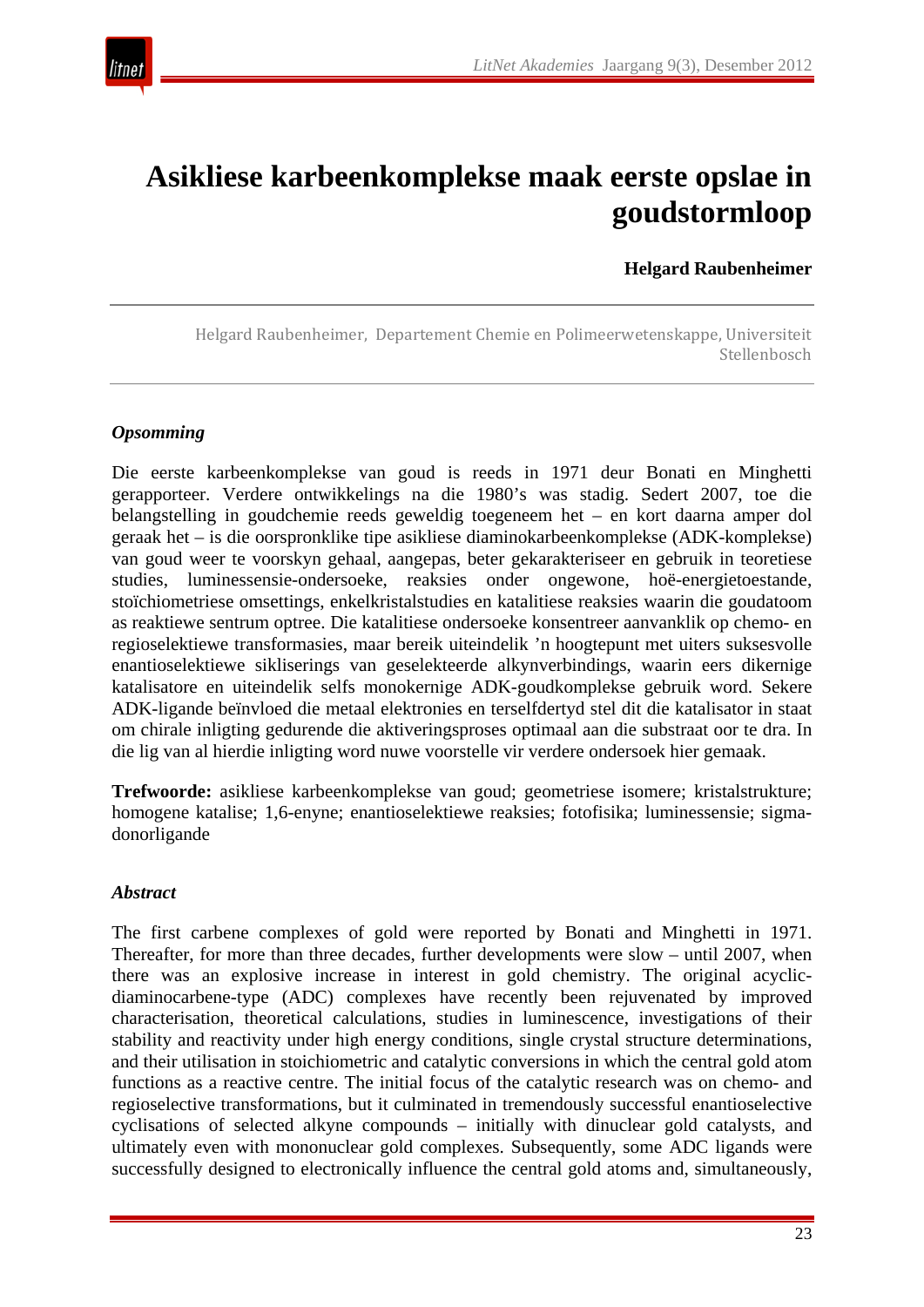

# **Asikliese karbeenkomplekse maak eerste opslae in goudstormloop**

**Helgard Raubenheimer**

Helgard Raubenheimer, Departement Chemie en Polimeerwetenskappe, Universiteit Stellenbosch

# *Opsomming*

Die eerste karbeenkomplekse van goud is reeds in 1971 deur Bonati en Minghetti gerapporteer. Verdere ontwikkelings na die 1980's was stadig. Sedert 2007, toe die belangstelling in goudchemie reeds geweldig toegeneem het – en kort daarna amper dol geraak het – is die oorspronklike tipe asikliese diaminokarbeenkomplekse (ADK-komplekse) van goud weer te voorskyn gehaal, aangepas, beter gekarakteriseer en gebruik in teoretiese studies, luminessensie-ondersoeke, reaksies onder ongewone, hoë-energietoestande, stoïchiometriese omsettings, enkelkristalstudies en katalitiese reaksies waarin die goudatoom as reaktiewe sentrum optree. Die katalitiese ondersoeke konsentreer aanvanklik op chemo- en regioselektiewe transformasies, maar bereik uiteindelik 'n hoogtepunt met uiters suksesvolle enantioselektiewe sikliserings van geselekteerde alkynverbindings, waarin eers dikernige katalisatore en uiteindelik selfs monokernige ADK-goudkomplekse gebruik word. Sekere ADK-ligande beïnvloed die metaal elektronies en terselfdertyd stel dit die katalisator in staat om chirale inligting gedurende die aktiveringsproses optimaal aan die substraat oor te dra. In die lig van al hierdie inligting word nuwe voorstelle vir verdere ondersoek hier gemaak.

**Trefwoorde:** asikliese karbeenkomplekse van goud; geometriese isomere; kristalstrukture; homogene katalise; 1,6-enyne; enantioselektiewe reaksies; fotofisika; luminessensie; sigmadonorligande

# *Abstract*

The first carbene complexes of gold were reported by Bonati and Minghetti in 1971. Thereafter, for more than three decades, further developments were slow – until 2007, when there was an explosive increase in interest in gold chemistry. The original acyclicdiaminocarbene-type (ADC) complexes have recently been rejuvenated by improved characterisation, theoretical calculations, studies in luminescence, investigations of their stability and reactivity under high energy conditions, single crystal structure determinations, and their utilisation in stoichiometric and catalytic conversions in which the central gold atom functions as a reactive centre. The initial focus of the catalytic research was on chemo- and regioselective transformations, but it culminated in tremendously successful enantioselective cyclisations of selected alkyne compounds – initially with dinuclear gold catalysts, and ultimately even with mononuclear gold complexes. Subsequently, some ADC ligands were successfully designed to electronically influence the central gold atoms and, simultaneously,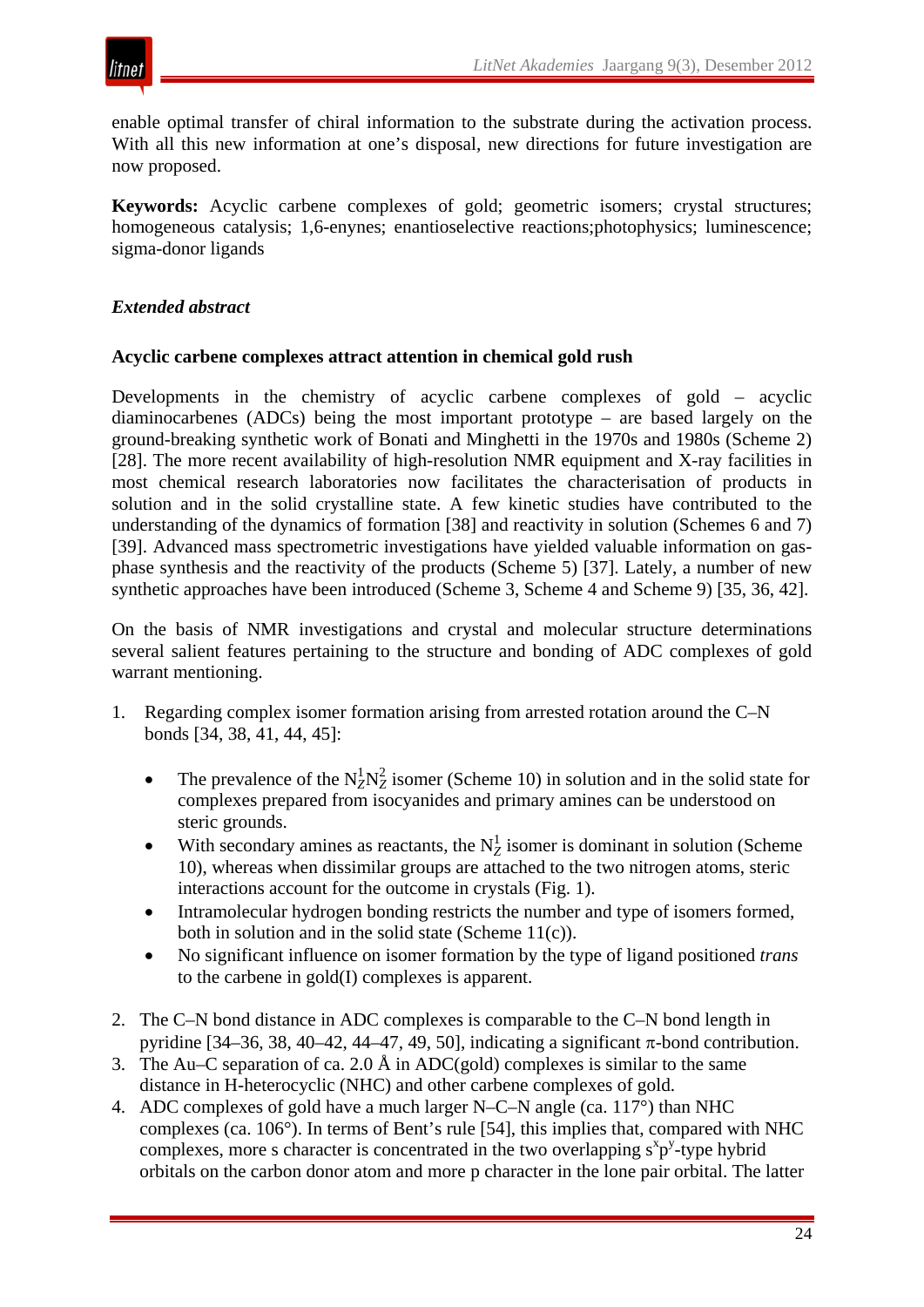

enable optimal transfer of chiral information to the substrate during the activation process. With all this new information at one's disposal, new directions for future investigation are now proposed.

**Keywords:** Acyclic carbene complexes of gold; geometric isomers; crystal structures; homogeneous catalysis; 1,6-enynes; enantioselective reactions;photophysics; luminescence; sigma-donor ligands

# *Extended abstract*

# **Acyclic carbene complexes attract attention in chemical gold rush**

Developments in the chemistry of acyclic carbene complexes of gold – acyclic diaminocarbenes (ADCs) being the most important prototype – are based largely on the ground-breaking synthetic work of Bonati and Minghetti in the 1970s and 1980s (Scheme 2) [28]. The more recent availability of high-resolution NMR equipment and X-ray facilities in most chemical research laboratories now facilitates the characterisation of products in solution and in the solid crystalline state. A few kinetic studies have contributed to the understanding of the dynamics of formation [38] and reactivity in solution (Schemes 6 and 7) [39]. Advanced mass spectrometric investigations have yielded valuable information on gasphase synthesis and the reactivity of the products (Scheme 5) [37]. Lately, a number of new synthetic approaches have been introduced (Scheme 3, Scheme 4 and Scheme 9) [35, 36, 42].

On the basis of NMR investigations and crystal and molecular structure determinations several salient features pertaining to the structure and bonding of ADC complexes of gold warrant mentioning.

- 1. Regarding complex isomer formation arising from arrested rotation around the C–N bonds [34, 38, 41, 44, 45]:
	- The prevalence of the  $N_Z^1 N_Z^2$  isomer (Scheme 10) in solution and in the solid state for complexes prepared from isocyanides and primary amines can be understood on steric grounds.
	- With secondary amines as reactants, the  $N_Z^1$  isomer is dominant in solution (Scheme 10), whereas when dissimilar groups are attached to the two nitrogen atoms, steric interactions account for the outcome in crystals (Fig. 1).
	- Intramolecular hydrogen bonding restricts the number and type of isomers formed, both in solution and in the solid state (Scheme 11(c)).
	- No significant influence on isomer formation by the type of ligand positioned *trans* to the carbene in gold(I) complexes is apparent.
- 2. The C–N bond distance in ADC complexes is comparable to the C–N bond length in pyridine [34–36, 38, 40–42, 44–47, 49, 50], indicating a significant  $\pi$ -bond contribution.
- 3. The Au–C separation of ca. 2.0 Å in ADC(gold) complexes is similar to the same distance in H-heterocyclic (NHC) and other carbene complexes of gold.
- 4. ADC complexes of gold have a much larger N–C–N angle (ca. 117°) than NHC complexes (ca. 106°). In terms of Bent's rule [54], this implies that, compared with NHC complexes, more s character is concentrated in the two overlapping  $s^{x}p^{y}$ -type hybrid orbitals on the carbon donor atom and more p character in the lone pair orbital. The latter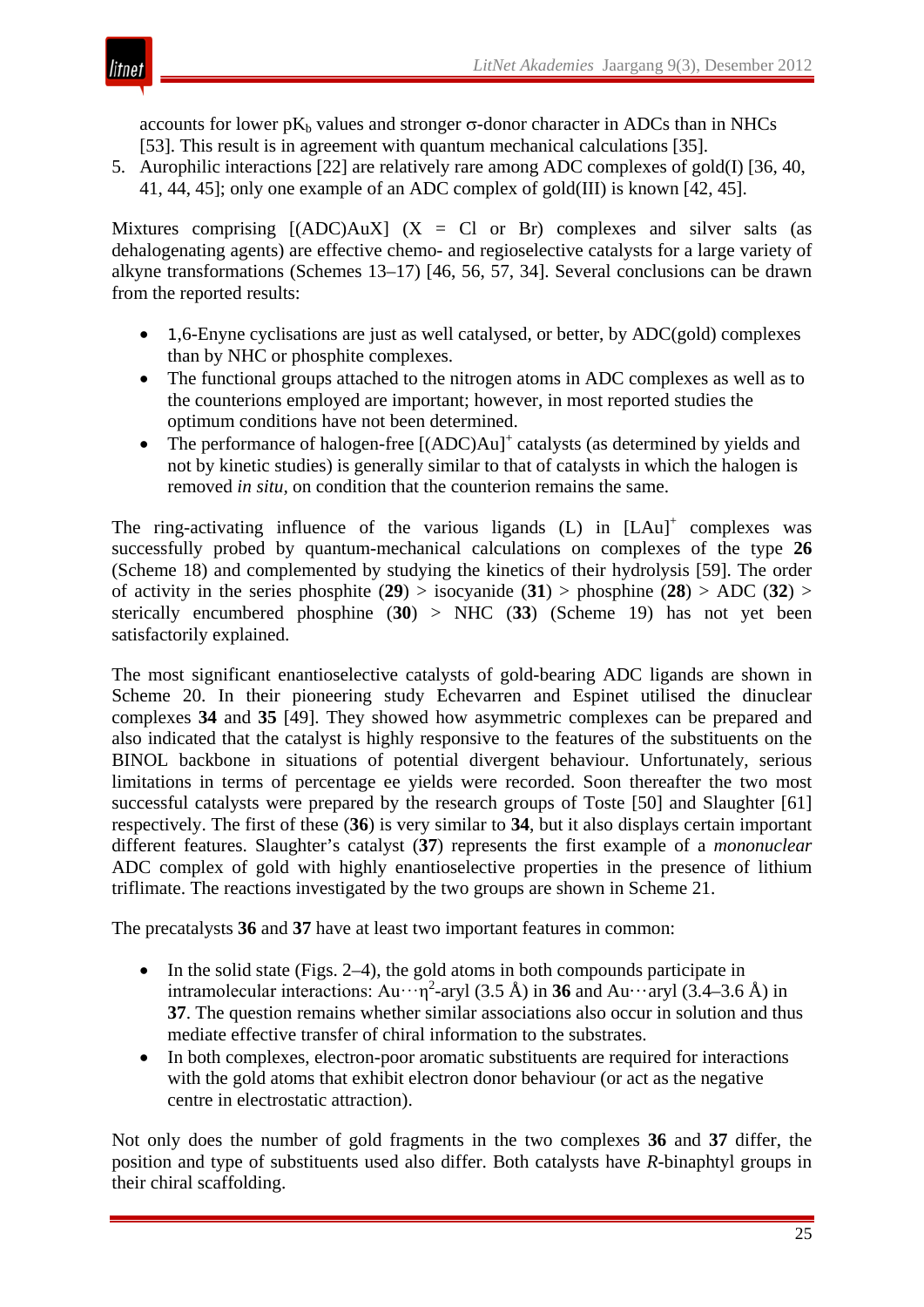ıtnet

accounts for lower  $pK_b$  values and stronger  $\sigma$ -donor character in ADCs than in NHCs [53]. This result is in agreement with quantum mechanical calculations [35].

5. Aurophilic interactions [22] are relatively rare among ADC complexes of gold(I) [36, 40, 41, 44, 45]; only one example of an ADC complex of gold(III) is known [42, 45].

Mixtures comprising  $[(ADC)AuX]$   $(X = Cl$  or Br) complexes and silver salts (as dehalogenating agents) are effective chemo- and regioselective catalysts for a large variety of alkyne transformations (Schemes 13–17) [46, 56, 57, 34]. Several conclusions can be drawn from the reported results:

- 1,6-Enyne cyclisations are just as well catalysed, or better, by ADC(gold) complexes than by NHC or phosphite complexes.
- The functional groups attached to the nitrogen atoms in ADC complexes as well as to the counterions employed are important; however, in most reported studies the optimum conditions have not been determined.
- The performance of halogen-free [(ADC)Au]<sup>+</sup> catalysts (as determined by yields and not by kinetic studies) is generally similar to that of catalysts in which the halogen is removed *in situ,* on condition that the counterion remains the same.

The ring-activating influence of the various ligands  $(L)$  in  $[LAu]$ <sup>+</sup> complexes was successfully probed by quantum-mechanical calculations on complexes of the type **26** (Scheme 18) and complemented by studying the kinetics of their hydrolysis [59]. The order of activity in the series phosphite (**29**) > isocyanide (**31**) > phosphine (**28**) > ADC (**32**) > sterically encumbered phosphine (**30**) > NHC (**33**) (Scheme 19) has not yet been satisfactorily explained.

The most significant enantioselective catalysts of gold-bearing ADC ligands are shown in Scheme 20. In their pioneering study Echevarren and Espinet utilised the dinuclear complexes **34** and **35** [49]. They showed how asymmetric complexes can be prepared and also indicated that the catalyst is highly responsive to the features of the substituents on the BINOL backbone in situations of potential divergent behaviour. Unfortunately, serious limitations in terms of percentage ee yields were recorded. Soon thereafter the two most successful catalysts were prepared by the research groups of Toste [50] and Slaughter [61] respectively. The first of these (**36**) is very similar to **34**, but it also displays certain important different features. Slaughter's catalyst (**37**) represents the first example of a *mononuclear* ADC complex of gold with highly enantioselective properties in the presence of lithium triflimate. The reactions investigated by the two groups are shown in Scheme 21.

The precatalysts **36** and **37** have at least two important features in common:

- In the solid state (Figs. 2–4), the gold atoms in both compounds participate in intramolecular interactions: Au $\cdots$ η<sup>2</sup>-aryl (3.5 Å) in **36** and Au $\cdots$ aryl (3.4–3.6 Å) in **37**. The question remains whether similar associations also occur in solution and thus mediate effective transfer of chiral information to the substrates.
- In both complexes, electron-poor aromatic substituents are required for interactions with the gold atoms that exhibit electron donor behaviour (or act as the negative centre in electrostatic attraction).

Not only does the number of gold fragments in the two complexes **36** and **37** differ, the position and type of substituents used also differ. Both catalysts have *R*-binaphtyl groups in their chiral scaffolding.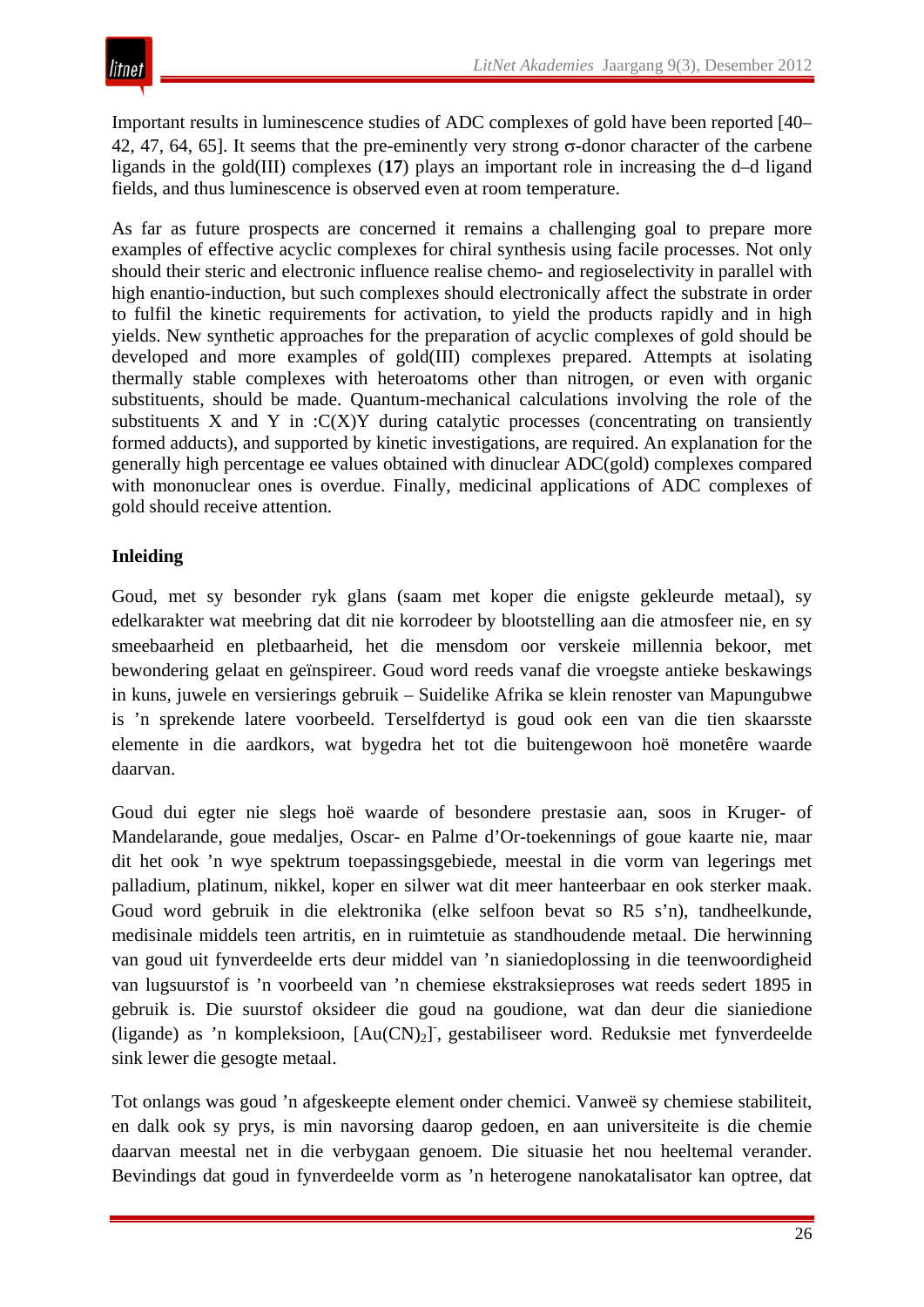Important results in luminescence studies of ADC complexes of gold have been reported [40– 42, 47, 64, 65]. It seems that the pre-eminently very strong  $\sigma$ -donor character of the carbene ligands in the gold(III) complexes (**17**) plays an important role in increasing the d–d ligand fields, and thus luminescence is observed even at room temperature.

As far as future prospects are concerned it remains a challenging goal to prepare more examples of effective acyclic complexes for chiral synthesis using facile processes. Not only should their steric and electronic influence realise chemo- and regioselectivity in parallel with high enantio-induction, but such complexes should electronically affect the substrate in order to fulfil the kinetic requirements for activation, to yield the products rapidly and in high yields. New synthetic approaches for the preparation of acyclic complexes of gold should be developed and more examples of gold(III) complexes prepared. Attempts at isolating thermally stable complexes with heteroatoms other than nitrogen, or even with organic substituents, should be made. Quantum-mechanical calculations involving the role of the substituents X and Y in  $:C(X)Y$  during catalytic processes (concentrating on transiently formed adducts), and supported by kinetic investigations, are required. An explanation for the generally high percentage ee values obtained with dinuclear ADC(gold) complexes compared with mononuclear ones is overdue. Finally, medicinal applications of ADC complexes of gold should receive attention.

# **Inleiding**

Goud, met sy besonder ryk glans (saam met koper die enigste gekleurde metaal), sy edelkarakter wat meebring dat dit nie korrodeer by blootstelling aan die atmosfeer nie, en sy smeebaarheid en pletbaarheid, het die mensdom oor verskeie millennia bekoor, met bewondering gelaat en geïnspireer. Goud word reeds vanaf die vroegste antieke beskawings in kuns, juwele en versierings gebruik – Suidelike Afrika se klein renoster van Mapungubwe is 'n sprekende latere voorbeeld. Terselfdertyd is goud ook een van die tien skaarsste elemente in die aardkors, wat bygedra het tot die buitengewoon hoë monetêre waarde daarvan.

Goud dui egter nie slegs hoë waarde of besondere prestasie aan, soos in Kruger- of Mandelarande, goue medaljes, Oscar- en Palme d'Or-toekennings of goue kaarte nie, maar dit het ook 'n wye spektrum toepassingsgebiede, meestal in die vorm van legerings met palladium, platinum, nikkel, koper en silwer wat dit meer hanteerbaar en ook sterker maak. Goud word gebruik in die elektronika (elke selfoon bevat so R5 s'n), tandheelkunde, medisinale middels teen artritis, en in ruimtetuie as standhoudende metaal. Die herwinning van goud uit fynverdeelde erts deur middel van 'n sianiedoplossing in die teenwoordigheid van lugsuurstof is 'n voorbeeld van 'n chemiese ekstraksieproses wat reeds sedert 1895 in gebruik is. Die suurstof oksideer die goud na goudione, wat dan deur die sianiedione (ligande) as 'n kompleksioon, [Au(CN)<sub>2</sub>]', gestabiliseer word. Reduksie met fynverdeelde sink lewer die gesogte metaal.

Tot onlangs was goud 'n afgeskeepte element onder chemici. Vanweë sy chemiese stabiliteit, en dalk ook sy prys, is min navorsing daarop gedoen, en aan universiteite is die chemie daarvan meestal net in die verbygaan genoem. Die situasie het nou heeltemal verander. Bevindings dat goud in fynverdeelde vorm as 'n heterogene nanokatalisator kan optree, dat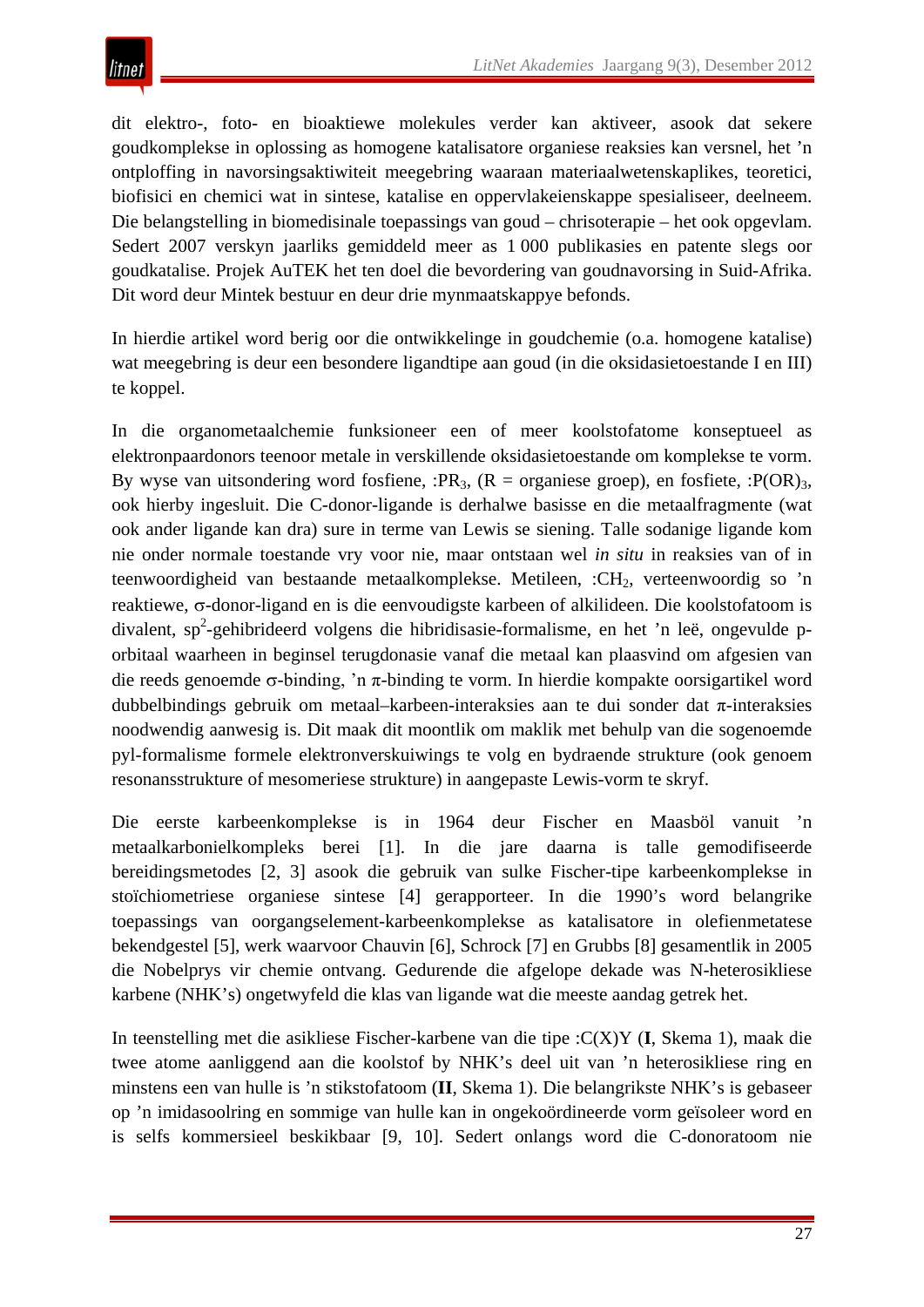dit elektro-, foto- en bioaktiewe molekules verder kan aktiveer, asook dat sekere goudkomplekse in oplossing as homogene katalisatore organiese reaksies kan versnel, het 'n ontploffing in navorsingsaktiwiteit meegebring waaraan materiaalwetenskaplikes, teoretici, biofisici en chemici wat in sintese, katalise en oppervlakeienskappe spesialiseer, deelneem. Die belangstelling in biomedisinale toepassings van goud – chrisoterapie – het ook opgevlam. Sedert 2007 verskyn jaarliks gemiddeld meer as 1 000 publikasies en patente slegs oor goudkatalise. Projek AuTEK het ten doel die bevordering van goudnavorsing in Suid-Afrika. Dit word deur Mintek bestuur en deur drie mynmaatskappye befonds.

In hierdie artikel word berig oor die ontwikkelinge in goudchemie (o.a. homogene katalise) wat meegebring is deur een besondere ligandtipe aan goud (in die oksidasietoestande I en III) te koppel.

In die organometaalchemie funksioneer een of meer koolstofatome konseptueel as elektronpaardonors teenoor metale in verskillende oksidasietoestande om komplekse te vorm. By wyse van uitsondering word fosfiene, : $PR_3$ ,  $(R =$  organiese groep), en fosfiete, : $P(OR)_3$ , ook hierby ingesluit. Die C-donor-ligande is derhalwe basisse en die metaalfragmente (wat ook ander ligande kan dra) sure in terme van Lewis se siening. Talle sodanige ligande kom nie onder normale toestande vry voor nie, maar ontstaan wel *in situ* in reaksies van of in teenwoordigheid van bestaande metaalkomplekse. Metileen, :CH<sub>2</sub>, verteenwoordig so 'n reaktiewe, σ-donor-ligand en is die eenvoudigste karbeen of alkilideen. Die koolstofatoom is divalent, sp<sup>2</sup>-gehibrideerd volgens die hibridisasie-formalisme, en het 'n leë, ongevulde porbitaal waarheen in beginsel terugdonasie vanaf die metaal kan plaasvind om afgesien van die reeds genoemde  $\sigma$ -binding, 'n  $\pi$ -binding te vorm. In hierdie kompakte oorsigartikel word dubbelbindings gebruik om metaal–karbeen-interaksies aan te dui sonder dat  $\pi$ -interaksies noodwendig aanwesig is. Dit maak dit moontlik om maklik met behulp van die sogenoemde pyl-formalisme formele elektronverskuiwings te volg en bydraende strukture (ook genoem resonansstrukture of mesomeriese strukture) in aangepaste Lewis-vorm te skryf.

Die eerste karbeenkomplekse is in 1964 deur Fischer en Maasböl vanuit 'n metaalkarbonielkompleks berei [1]. In die jare daarna is talle gemodifiseerde bereidingsmetodes [2, 3] asook die gebruik van sulke Fischer-tipe karbeenkomplekse in stoïchiometriese organiese sintese [4] gerapporteer. In die 1990's word belangrike toepassings van oorgangselement-karbeenkomplekse as katalisatore in olefienmetatese bekendgestel [5], werk waarvoor Chauvin [6], Schrock [7] en Grubbs [8] gesamentlik in 2005 die Nobelprys vir chemie ontvang. Gedurende die afgelope dekade was N-heterosikliese karbene (NHK's) ongetwyfeld die klas van ligande wat die meeste aandag getrek het.

In teenstelling met die asikliese Fischer-karbene van die tipe :C(X)Y (**I**, Skema 1), maak die twee atome aanliggend aan die koolstof by NHK's deel uit van 'n heterosikliese ring en minstens een van hulle is 'n stikstofatoom (**II**, Skema 1). Die belangrikste NHK's is gebaseer op 'n imidasoolring en sommige van hulle kan in ongekoördineerde vorm geïsoleer word en is selfs kommersieel beskikbaar [9, 10]. Sedert onlangs word die C-donoratoom nie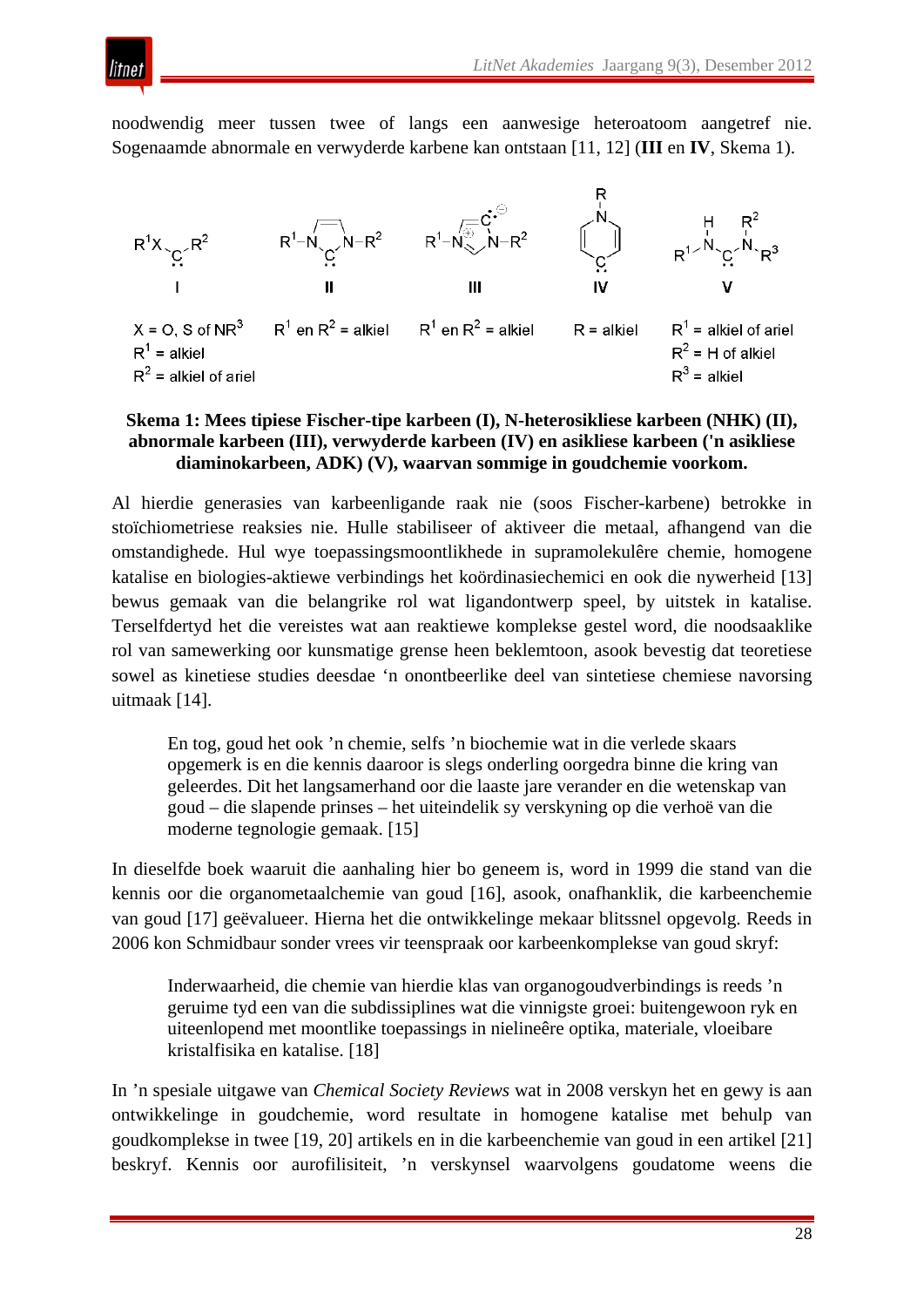noodwendig meer tussen twee of langs een aanwesige heteroatoom aangetref nie. Sogenaamde abnormale en verwyderde karbene kan ontstaan [11, 12] (**III** en **IV**, Skema 1).

tnei



## **Skema 1: Mees tipiese Fischer-tipe karbeen (I), N-heterosikliese karbeen (NHK) (II), abnormale karbeen (III), verwyderde karbeen (IV) en asikliese karbeen ('n asikliese diaminokarbeen, ADK) (V), waarvan sommige in goudchemie voorkom.**

Al hierdie generasies van karbeenligande raak nie (soos Fischer-karbene) betrokke in stoïchiometriese reaksies nie. Hulle stabiliseer of aktiveer die metaal, afhangend van die omstandighede. Hul wye toepassingsmoontlikhede in supramolekulêre chemie, homogene katalise en biologies-aktiewe verbindings het koördinasiechemici en ook die nywerheid [13] bewus gemaak van die belangrike rol wat ligandontwerp speel, by uitstek in katalise. Terselfdertyd het die vereistes wat aan reaktiewe komplekse gestel word, die noodsaaklike rol van samewerking oor kunsmatige grense heen beklemtoon, asook bevestig dat teoretiese sowel as kinetiese studies deesdae 'n onontbeerlike deel van sintetiese chemiese navorsing uitmaak [14].

En tog, goud het ook 'n chemie, selfs 'n biochemie wat in die verlede skaars opgemerk is en die kennis daaroor is slegs onderling oorgedra binne die kring van geleerdes. Dit het langsamerhand oor die laaste jare verander en die wetenskap van goud – die slapende prinses – het uiteindelik sy verskyning op die verhoë van die moderne tegnologie gemaak. [15]

In dieselfde boek waaruit die aanhaling hier bo geneem is, word in 1999 die stand van die kennis oor die organometaalchemie van goud [16], asook, onafhanklik, die karbeenchemie van goud [17] geëvalueer. Hierna het die ontwikkelinge mekaar blitssnel opgevolg. Reeds in 2006 kon Schmidbaur sonder vrees vir teenspraak oor karbeenkomplekse van goud skryf:

Inderwaarheid, die chemie van hierdie klas van organogoudverbindings is reeds 'n geruime tyd een van die subdissiplines wat die vinnigste groei: buitengewoon ryk en uiteenlopend met moontlike toepassings in nielineêre optika, materiale, vloeibare kristalfisika en katalise. [18]

In 'n spesiale uitgawe van *Chemical Society Reviews* wat in 2008 verskyn het en gewy is aan ontwikkelinge in goudchemie, word resultate in homogene katalise met behulp van goudkomplekse in twee [19, 20] artikels en in die karbeenchemie van goud in een artikel [21] beskryf. Kennis oor aurofilisiteit, 'n verskynsel waarvolgens goudatome weens die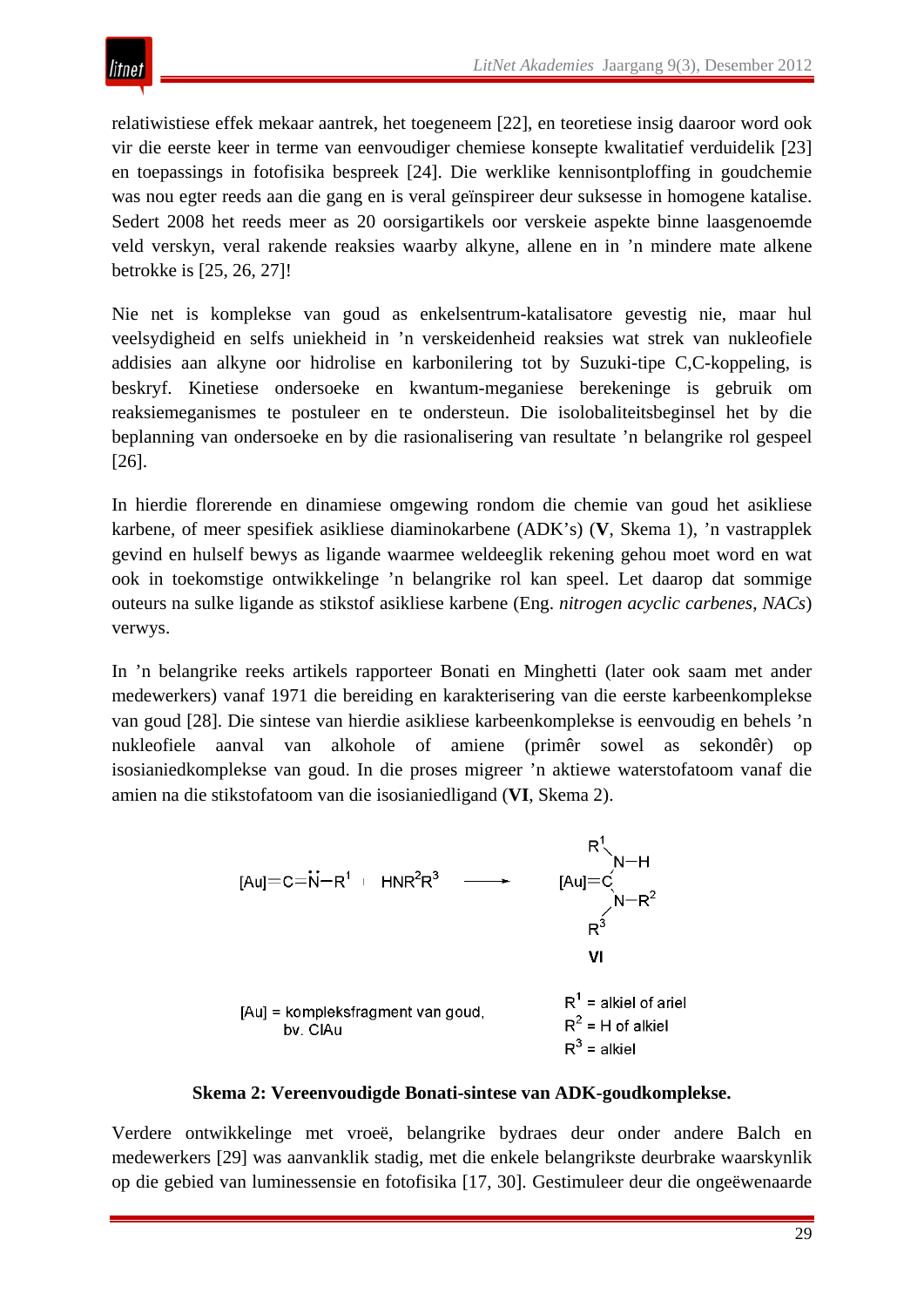relatiwistiese effek mekaar aantrek, het toegeneem [22], en teoretiese insig daaroor word ook vir die eerste keer in terme van eenvoudiger chemiese konsepte kwalitatief verduidelik [23] en toepassings in fotofisika bespreek [24]. Die werklike kennisontploffing in goudchemie was nou egter reeds aan die gang en is veral geïnspireer deur suksesse in homogene katalise. Sedert 2008 het reeds meer as 20 oorsigartikels oor verskeie aspekte binne laasgenoemde veld verskyn, veral rakende reaksies waarby alkyne, allene en in 'n mindere mate alkene betrokke is [25, 26, 27]!

Nie net is komplekse van goud as enkelsentrum-katalisatore gevestig nie, maar hul veelsydigheid en selfs uniekheid in 'n verskeidenheid reaksies wat strek van nukleofiele addisies aan alkyne oor hidrolise en karbonilering tot by Suzuki-tipe C,C-koppeling, is beskryf. Kinetiese ondersoeke en kwantum-meganiese berekeninge is gebruik om reaksiemeganismes te postuleer en te ondersteun. Die isolobaliteitsbeginsel het by die beplanning van ondersoeke en by die rasionalisering van resultate 'n belangrike rol gespeel [26].

In hierdie florerende en dinamiese omgewing rondom die chemie van goud het asikliese karbene, of meer spesifiek asikliese diaminokarbene (ADK's) (**V**, Skema 1), 'n vastrapplek gevind en hulself bewys as ligande waarmee weldeeglik rekening gehou moet word en wat ook in toekomstige ontwikkelinge 'n belangrike rol kan speel. Let daarop dat sommige outeurs na sulke ligande as stikstof asikliese karbene (Eng. *nitrogen acyclic carbenes*, *NACs*) verwys.

In 'n belangrike reeks artikels rapporteer Bonati en Minghetti (later ook saam met ander medewerkers) vanaf 1971 die bereiding en karakterisering van die eerste karbeenkomplekse van goud [28]. Die sintese van hierdie asikliese karbeenkomplekse is eenvoudig en behels 'n nukleofiele aanval van alkohole of amiene (primêr sowel as sekondêr) op isosianiedkomplekse van goud. In die proses migreer 'n aktiewe waterstofatoom vanaf die amien na die stikstofatoom van die isosianiedligand (**VI**, Skema 2).



# **Skema 2: Vereenvoudigde Bonati-sintese van ADK-goudkomplekse.**

Verdere ontwikkelinge met vroeë, belangrike bydraes deur onder andere Balch en medewerkers [29] was aanvanklik stadig, met die enkele belangrikste deurbrake waarskynlik op die gebied van luminessensie en fotofisika [17, 30]. Gestimuleer deur die ongeëwenaarde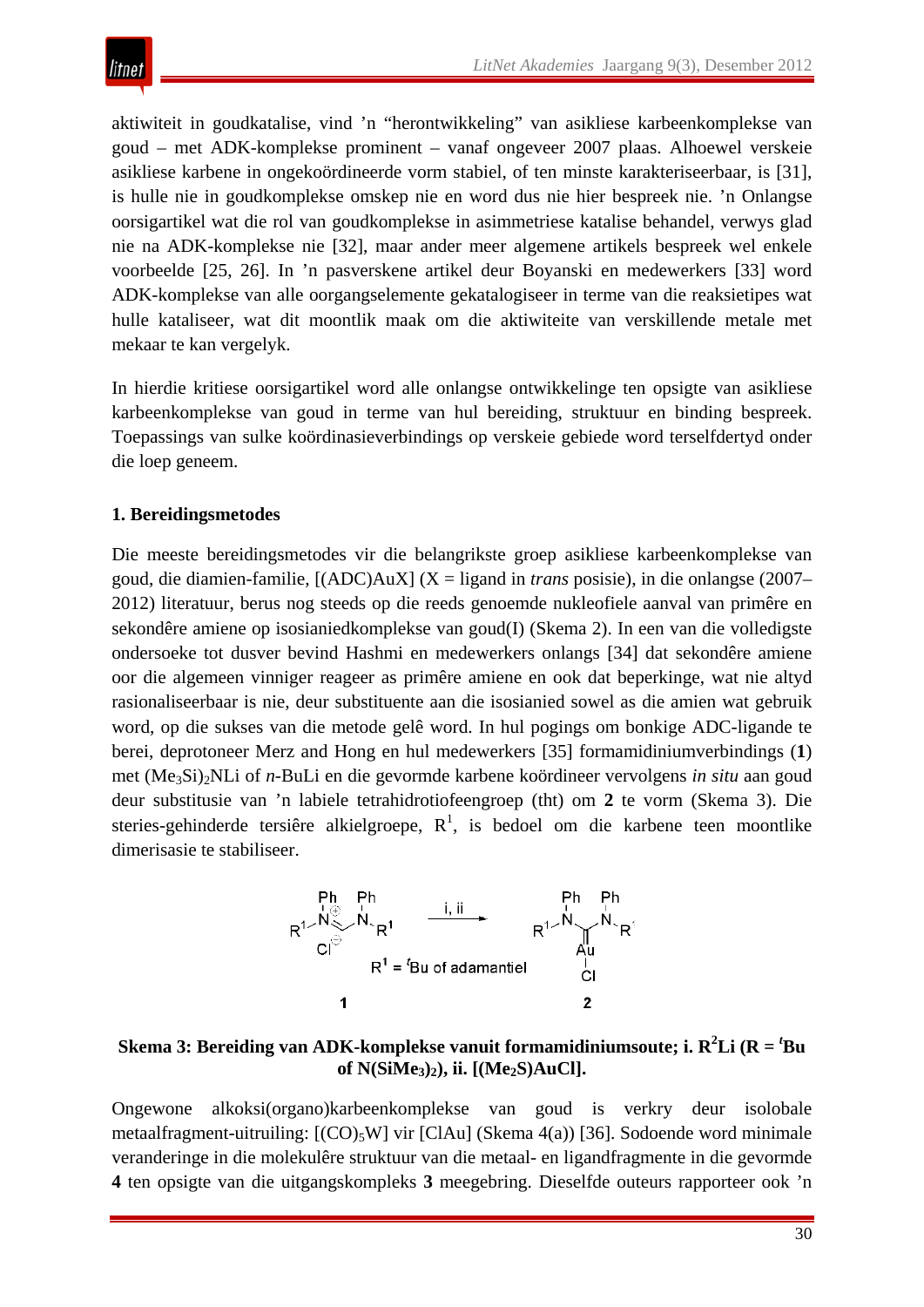aktiwiteit in goudkatalise, vind 'n "herontwikkeling" van asikliese karbeenkomplekse van goud – met ADK-komplekse prominent – vanaf ongeveer 2007 plaas. Alhoewel verskeie asikliese karbene in ongekoördineerde vorm stabiel, of ten minste karakteriseerbaar, is [31], is hulle nie in goudkomplekse omskep nie en word dus nie hier bespreek nie. 'n Onlangse oorsigartikel wat die rol van goudkomplekse in asimmetriese katalise behandel, verwys glad nie na ADK-komplekse nie [32], maar ander meer algemene artikels bespreek wel enkele voorbeelde [25, 26]. In 'n pasverskene artikel deur Boyanski en medewerkers [33] word ADK-komplekse van alle oorgangselemente gekatalogiseer in terme van die reaksietipes wat hulle kataliseer, wat dit moontlik maak om die aktiwiteite van verskillende metale met mekaar te kan vergelyk.

In hierdie kritiese oorsigartikel word alle onlangse ontwikkelinge ten opsigte van asikliese karbeenkomplekse van goud in terme van hul bereiding, struktuur en binding bespreek. Toepassings van sulke koördinasieverbindings op verskeie gebiede word terselfdertyd onder die loep geneem.

# **1. Bereidingsmetodes**

Die meeste bereidingsmetodes vir die belangrikste groep asikliese karbeenkomplekse van goud, die diamien-familie, [(ADC)AuX] (X = ligand in *trans* posisie), in die onlangse (2007– 2012) literatuur, berus nog steeds op die reeds genoemde nukleofiele aanval van primêre en sekondêre amiene op isosianiedkomplekse van goud(I) (Skema 2). In een van die volledigste ondersoeke tot dusver bevind Hashmi en medewerkers onlangs [34] dat sekondêre amiene oor die algemeen vinniger reageer as primêre amiene en ook dat beperkinge, wat nie altyd rasionaliseerbaar is nie, deur substituente aan die isosianied sowel as die amien wat gebruik word, op die sukses van die metode gelê word. In hul pogings om bonkige ADC-ligande te berei, deprotoneer Merz and Hong en hul medewerkers [35] formamidiniumverbindings (**1**) met (Me3Si)2NLi of *n*-BuLi en die gevormde karbene koördineer vervolgens *in situ* aan goud deur substitusie van 'n labiele tetrahidrotiofeengroep (tht) om **2** te vorm (Skema 3). Die steries-gehinderde tersiêre alkielgroepe,  $R<sup>1</sup>$ , is bedoel om die karbene teen moontlike dimerisasie te stabiliseer.



# **Skema 3: Bereiding van ADK-komplekse vanuit formamidiniumsoute; i.**  $\mathbf{R}^2\mathbf{L}$ **i (** $\mathbf{R} = {}^t\mathbf{B} \mathbf{u}$ of N(SiMe<sub>3</sub>)<sub>2</sub>), ii. [(Me<sub>2</sub>S)AuCl].

Ongewone alkoksi(organo)karbeenkomplekse van goud is verkry deur isolobale metaalfragment-uitruiling:  $[(CO)_5W]$  vir  $[ClAu]$  (Skema 4(a)) [36]. Sodoende word minimale veranderinge in die molekulêre struktuur van die metaal- en ligandfragmente in die gevormde **4** ten opsigte van die uitgangskompleks **3** meegebring. Dieselfde outeurs rapporteer ook 'n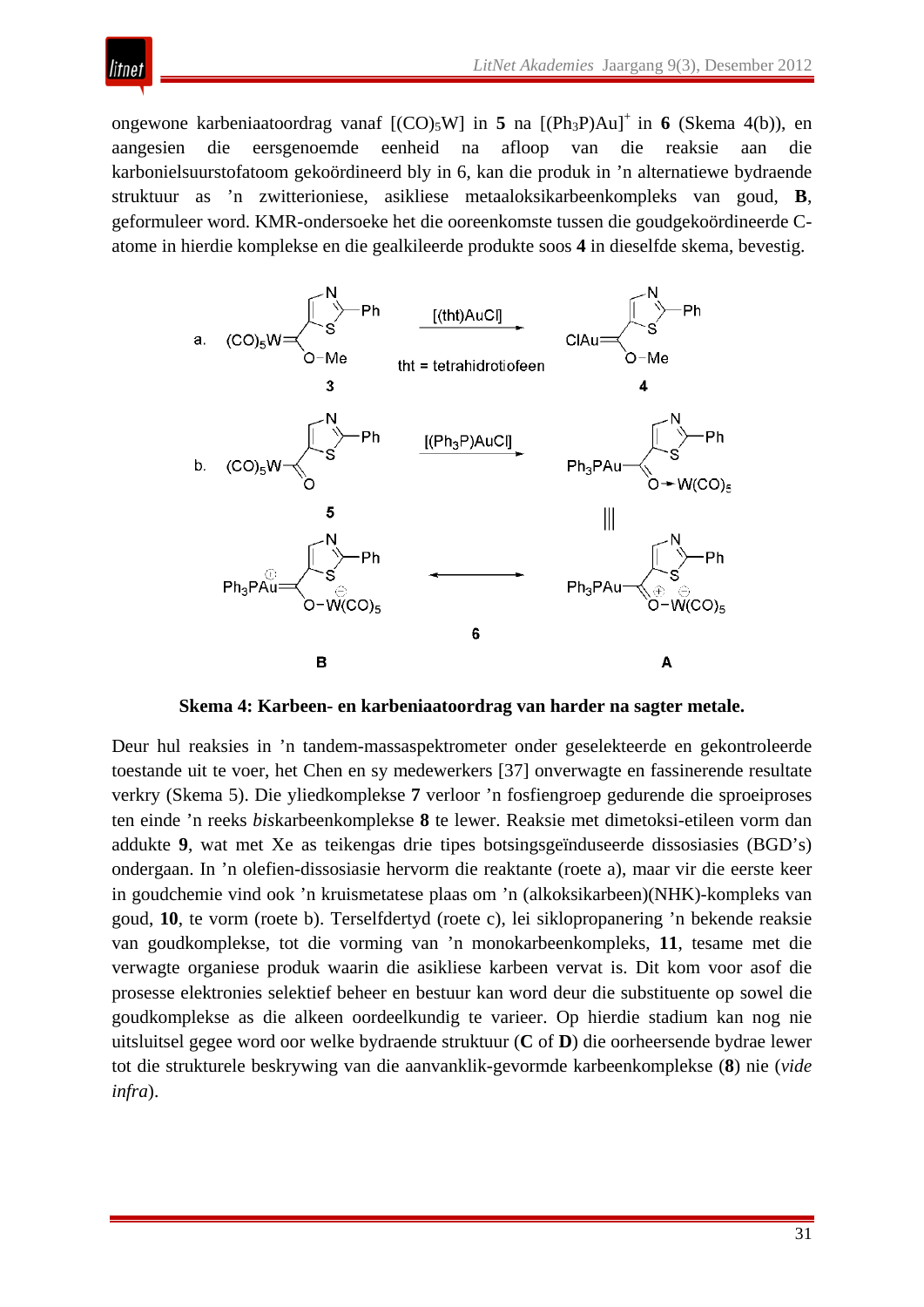ongewone karbeniaatoordrag vanaf  $[(CO)_5W]$  in 5 na  $[(Ph_3P)Au]^+$  in 6 (Skema 4(b)), en aangesien die eersgenoemde eenheid na afloop van die reaksie aan die karbonielsuurstofatoom gekoördineerd bly in 6, kan die produk in 'n alternatiewe bydraende struktuur as 'n zwitterioniese, asikliese metaaloksikarbeenkompleks van goud, **B**, geformuleer word. KMR-ondersoeke het die ooreenkomste tussen die goudgekoördineerde Catome in hierdie komplekse en die gealkileerde produkte soos **4** in dieselfde skema, bevestig.

litnet



**Skema 4: Karbeen- en karbeniaatoordrag van harder na sagter metale.**

Deur hul reaksies in 'n tandem-massaspektrometer onder geselekteerde en gekontroleerde toestande uit te voer, het Chen en sy medewerkers [37] onverwagte en fassinerende resultate verkry (Skema 5). Die yliedkomplekse **7** verloor 'n fosfiengroep gedurende die sproeiproses ten einde 'n reeks *bis*karbeenkomplekse **8** te lewer. Reaksie met dimetoksi-etileen vorm dan addukte **9**, wat met Xe as teikengas drie tipes botsingsgeïnduseerde dissosiasies (BGD's) ondergaan. In 'n olefien-dissosiasie hervorm die reaktante (roete a), maar vir die eerste keer in goudchemie vind ook 'n kruismetatese plaas om 'n (alkoksikarbeen)(NHK)-kompleks van goud, **10**, te vorm (roete b). Terselfdertyd (roete c), lei siklopropanering 'n bekende reaksie van goudkomplekse, tot die vorming van 'n monokarbeenkompleks, **11**, tesame met die verwagte organiese produk waarin die asikliese karbeen vervat is. Dit kom voor asof die prosesse elektronies selektief beheer en bestuur kan word deur die substituente op sowel die goudkomplekse as die alkeen oordeelkundig te varieer. Op hierdie stadium kan nog nie uitsluitsel gegee word oor welke bydraende struktuur (**C** of **D**) die oorheersende bydrae lewer tot die strukturele beskrywing van die aanvanklik-gevormde karbeenkomplekse (**8**) nie (*vide infra*).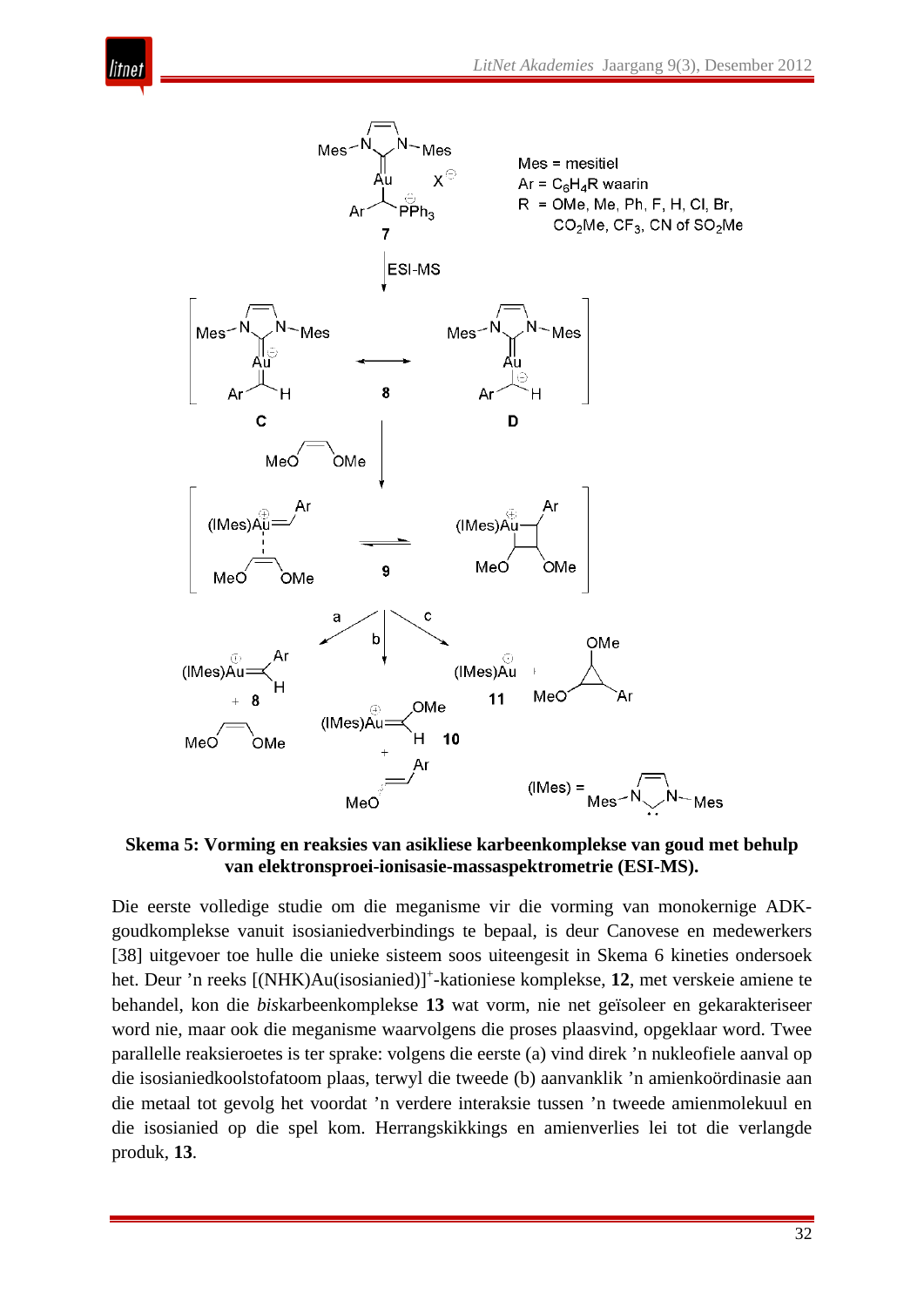

**Skema 5: Vorming en reaksies van asikliese karbeenkomplekse van goud met behulp van elektronsproei-ionisasie-massaspektrometrie (ESI-MS).**

Die eerste volledige studie om die meganisme vir die vorming van monokernige ADKgoudkomplekse vanuit isosianiedverbindings te bepaal, is deur Canovese en medewerkers [38] uitgevoer toe hulle die unieke sisteem soos uiteengesit in Skema 6 kineties ondersoek het. Deur 'n reeks [(NHK)Au(isosianied)]<sup>+</sup>-kationiese komplekse, 12, met verskeie amiene te behandel, kon die *bis*karbeenkomplekse **13** wat vorm, nie net geïsoleer en gekarakteriseer word nie, maar ook die meganisme waarvolgens die proses plaasvind, opgeklaar word. Twee parallelle reaksieroetes is ter sprake: volgens die eerste (a) vind direk 'n nukleofiele aanval op die isosianiedkoolstofatoom plaas, terwyl die tweede (b) aanvanklik 'n amienkoördinasie aan die metaal tot gevolg het voordat 'n verdere interaksie tussen 'n tweede amienmolekuul en die isosianied op die spel kom. Herrangskikkings en amienverlies lei tot die verlangde produk, **13**.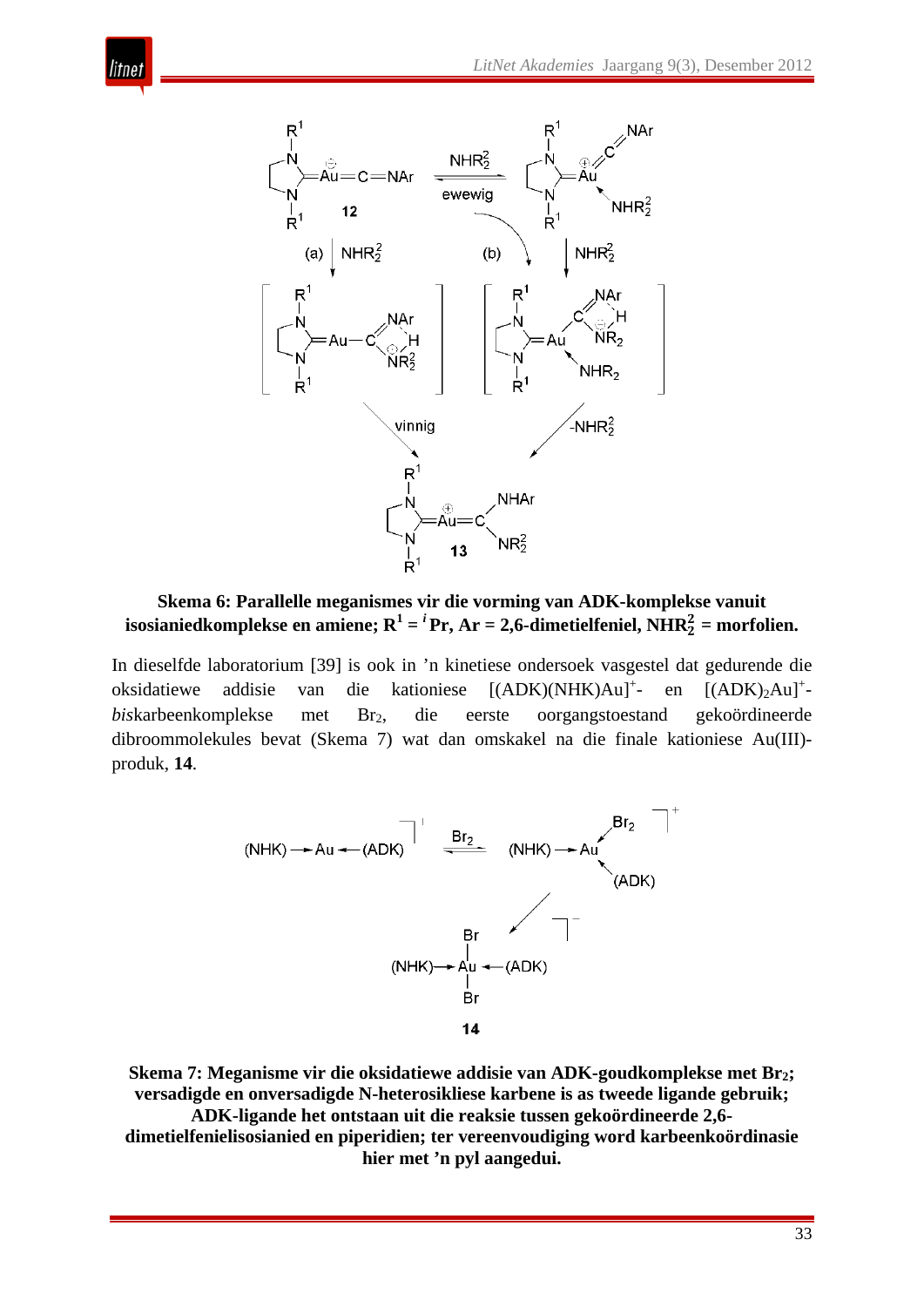

itnet

**Skema 6: Parallelle meganismes vir die vorming van ADK-komplekse vanuit**  isosianiedkomplekse en amiene;  $R^1 = {}^i Pr$ , Ar = 2,6-dimetielfeniel, NHR<sup>2</sup><sub>2</sub> = morfolien.

In dieselfde laboratorium [39] is ook in 'n kinetiese ondersoek vasgestel dat gedurende die oksidatiewe addisie van die kationiese [(ADK)(NHK)Au]+ - en  $[(ADK)<sub>2</sub>Au]$ <sup>+</sup>*biskarbeenkomplekse* met Br<sub>2</sub>, die eerste oorgangstoestand gekoördineerde dibroommolekules bevat (Skema 7) wat dan omskakel na die finale kationiese Au(III) produk, **14**.



**Skema 7: Meganisme vir die oksidatiewe addisie van ADK-goudkomplekse met Br2; versadigde en onversadigde N-heterosikliese karbene is as tweede ligande gebruik; ADK-ligande het ontstaan uit die reaksie tussen gekoördineerde 2,6 dimetielfenielisosianied en piperidien; ter vereenvoudiging word karbeenkoördinasie hier met 'n pyl aangedui.**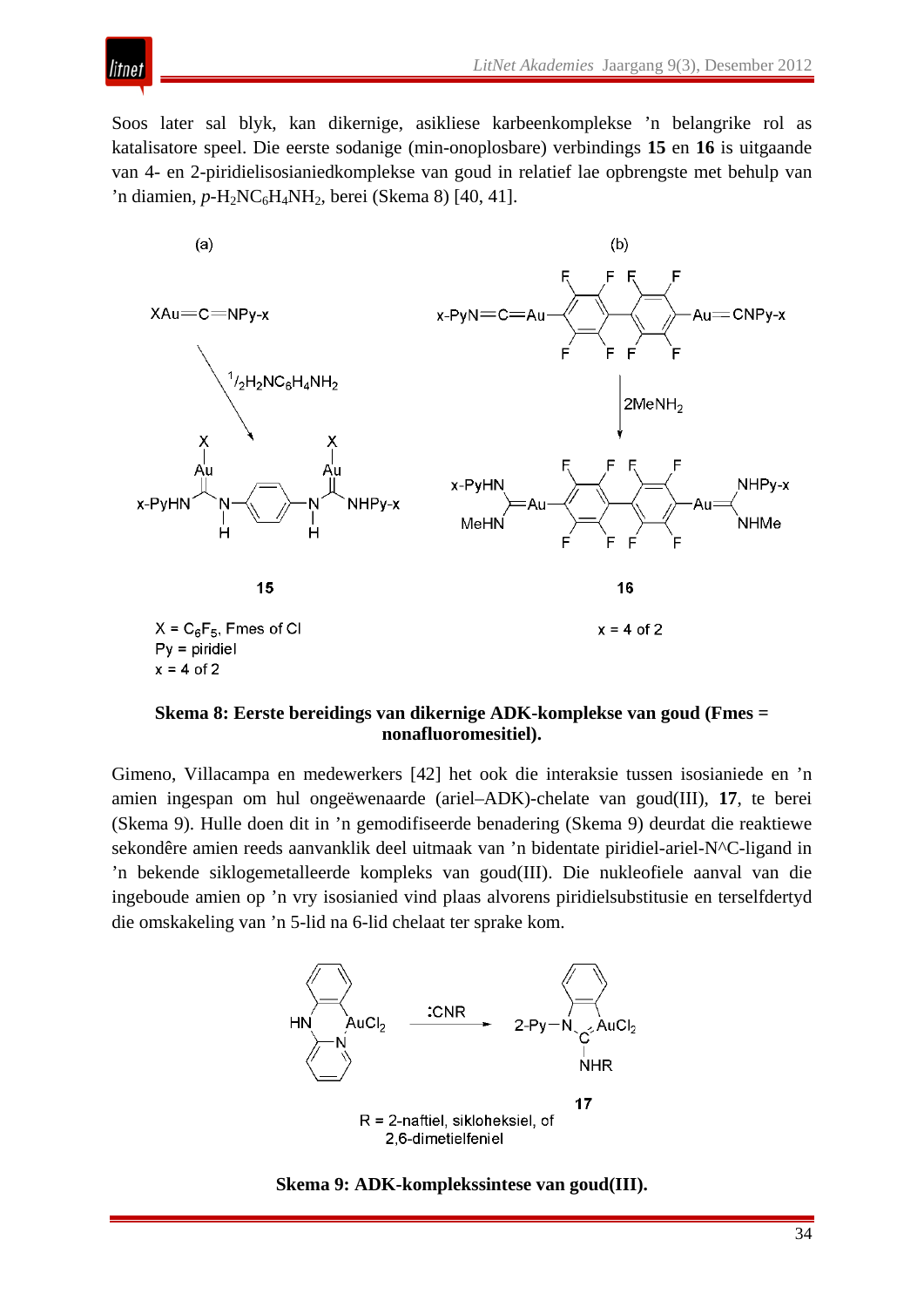Soos later sal blyk, kan dikernige, asikliese karbeenkomplekse 'n belangrike rol as katalisatore speel. Die eerste sodanige (min-onoplosbare) verbindings **15** en **16** is uitgaande van 4- en 2-piridielisosianiedkomplekse van goud in relatief lae opbrengste met behulp van 'n diamien, *p*-H2NC6H4NH2, berei (Skema 8) [40, 41].



## **Skema 8: Eerste bereidings van dikernige ADK-komplekse van goud (Fmes = nonafluoromesitiel).**

Gimeno, Villacampa en medewerkers [42] het ook die interaksie tussen isosianiede en 'n amien ingespan om hul ongeëwenaarde (ariel–ADK)-chelate van goud(III), **17**, te berei (Skema 9). Hulle doen dit in 'n gemodifiseerde benadering (Skema 9) deurdat die reaktiewe sekondêre amien reeds aanvanklik deel uitmaak van 'n bidentate piridiel-ariel-N^C-ligand in 'n bekende siklogemetalleerde kompleks van goud(III). Die nukleofiele aanval van die ingeboude amien op 'n vry isosianied vind plaas alvorens piridielsubstitusie en terselfdertyd die omskakeling van 'n 5-lid na 6-lid chelaat ter sprake kom.





litnet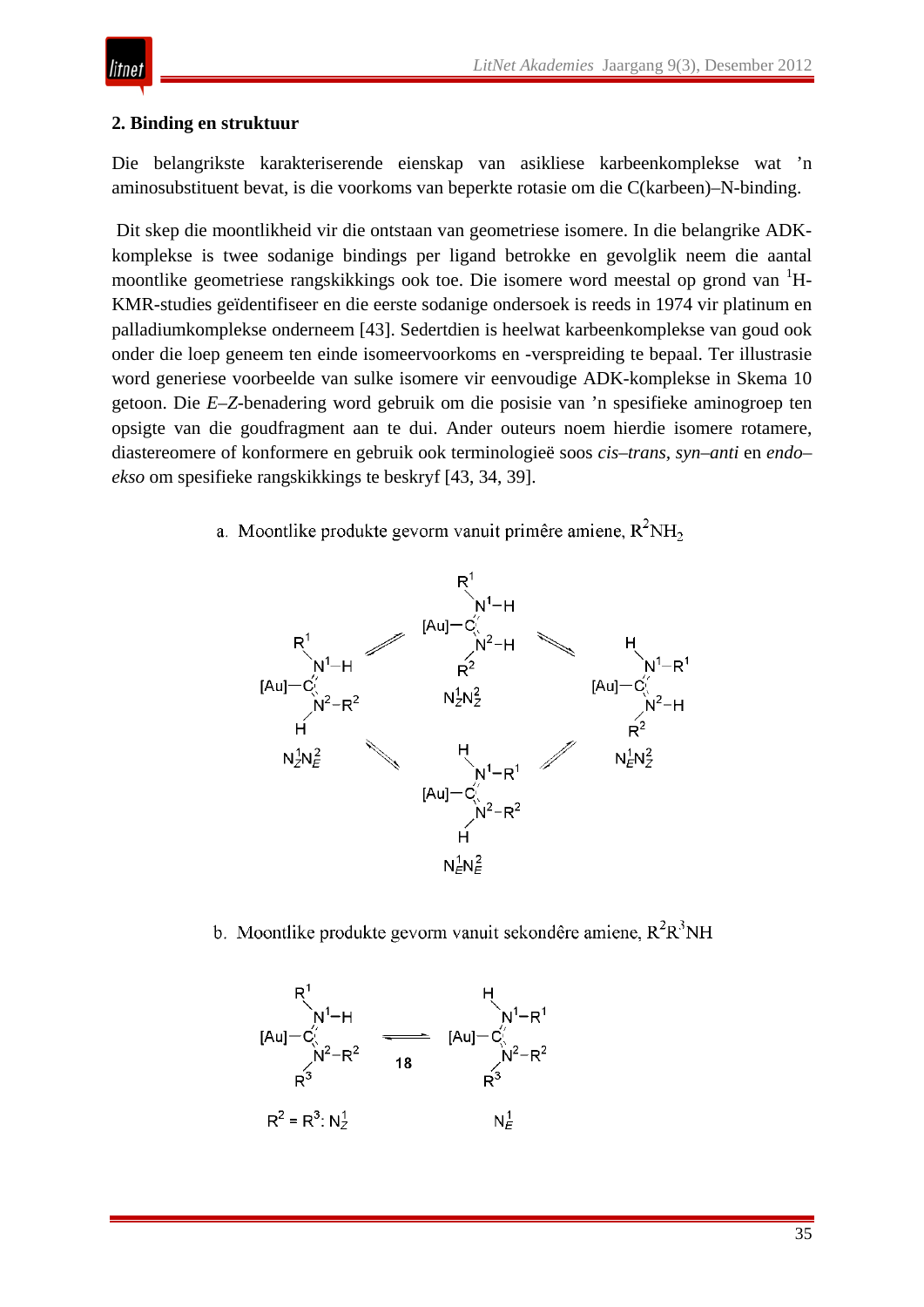# **2. Binding en struktuur**

Die belangrikste karakteriserende eienskap van asikliese karbeenkomplekse wat 'n aminosubstituent bevat, is die voorkoms van beperkte rotasie om die C(karbeen)–N-binding.

Dit skep die moontlikheid vir die ontstaan van geometriese isomere. In die belangrike ADKkomplekse is twee sodanige bindings per ligand betrokke en gevolglik neem die aantal moontlike geometriese rangskikkings ook toe. Die isomere word meestal op grond van <sup>1</sup>H-KMR-studies geïdentifiseer en die eerste sodanige ondersoek is reeds in 1974 vir platinum en palladiumkomplekse onderneem [43]. Sedertdien is heelwat karbeenkomplekse van goud ook onder die loep geneem ten einde isomeervoorkoms en -verspreiding te bepaal. Ter illustrasie word generiese voorbeelde van sulke isomere vir eenvoudige ADK-komplekse in Skema 10 getoon. Die *E*–*Z*-benadering word gebruik om die posisie van 'n spesifieke aminogroep ten opsigte van die goudfragment aan te dui. Ander outeurs noem hierdie isomere rotamere, diastereomere of konformere en gebruik ook terminologieë soos *cis–trans, syn–anti* en *endo– ekso* om spesifieke rangskikkings te beskryf [43, 34, 39].

a. Moontlike produkte gevorm vanuit primêre amiene,  $R^2NH_2$ 



b. Moontlike produkte gevorm vanuit sekondêre amiene,  $R^2R^3NH$ 

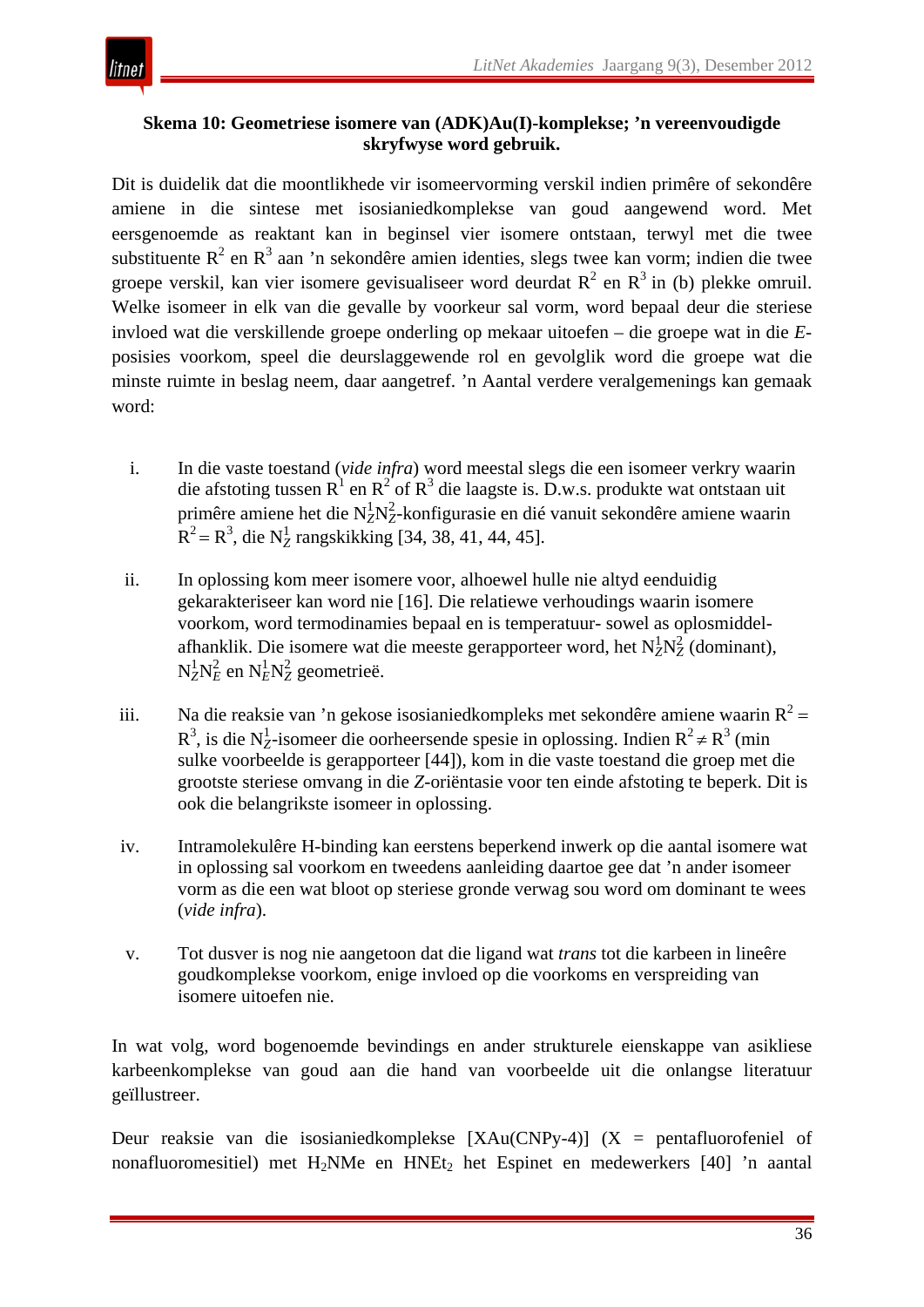# **Skema 10: Geometriese isomere van (ADK)Au(I)-komplekse; 'n vereenvoudigde skryfwyse word gebruik.**

Dit is duidelik dat die moontlikhede vir isomeervorming verskil indien primêre of sekondêre amiene in die sintese met isosianiedkomplekse van goud aangewend word. Met eersgenoemde as reaktant kan in beginsel vier isomere ontstaan, terwyl met die twee substituente  $R^2$  en  $R^3$  aan 'n sekondêre amien identies, slegs twee kan vorm; indien die twee groepe verskil, kan vier isomere gevisualiseer word deurdat  $R^2$  en  $R^3$  in (b) plekke omruil. Welke isomeer in elk van die gevalle by voorkeur sal vorm, word bepaal deur die steriese invloed wat die verskillende groepe onderling op mekaar uitoefen – die groepe wat in die *E*posisies voorkom, speel die deurslaggewende rol en gevolglik word die groepe wat die minste ruimte in beslag neem, daar aangetref. 'n Aantal verdere veralgemenings kan gemaak word:

- i. In die vaste toestand (*vide infra*) word meestal slegs die een isomeer verkry waarin die afstoting tussen  $R^1$  en  $R^2$  of  $R^3$  die laagste is. D.w.s. produkte wat ontstaan uit primêre amiene het die N $^1_Z$ N $^2_Z$ -konfigurasie en dié vanuit sekondêre amiene waarin  $R^2 = R^3$ , die N $^1_Z$  rangskikking [34, 38, 41, 44, 45].
- ii. In oplossing kom meer isomere voor, alhoewel hulle nie altyd eenduidig gekarakteriseer kan word nie [16]. Die relatiewe verhoudings waarin isomere voorkom, word termodinamies bepaal en is temperatuur- sowel as oplosmiddelafhanklik. Die isomere wat die meeste gerapporteer word, het N<sup>1</sup><sub>Z</sub>N<sup>2</sup><sub>Z</sub> (dominant),  $N_Z^1 N_E^2$  en  $N_E^1 N_Z^2$  geometrieë.
- iii. Na die reaksie van 'n gekose isosianiedkompleks met sekondêre amiene waarin  $R^2$  =  $R^3$ , is die N<sub>Z</sub>-isomeer die oorheersende spesie in oplossing. Indien  $R^2 \neq R^3$  (min sulke voorbeelde is gerapporteer [44]), kom in die vaste toestand die groep met die grootste steriese omvang in die *Z*-oriëntasie voor ten einde afstoting te beperk. Dit is ook die belangrikste isomeer in oplossing.
- iv. Intramolekulêre H-binding kan eerstens beperkend inwerk op die aantal isomere wat in oplossing sal voorkom en tweedens aanleiding daartoe gee dat 'n ander isomeer vorm as die een wat bloot op steriese gronde verwag sou word om dominant te wees (*vide infra*).
- v. Tot dusver is nog nie aangetoon dat die ligand wat *trans* tot die karbeen in lineêre goudkomplekse voorkom, enige invloed op die voorkoms en verspreiding van isomere uitoefen nie.

In wat volg, word bogenoemde bevindings en ander strukturele eienskappe van asikliese karbeenkomplekse van goud aan die hand van voorbeelde uit die onlangse literatuur geïllustreer.

Deur reaksie van die isosianiedkomplekse  $[XAu(CNPy-4)]$   $(X =$  pentafluorofeniel of nonafluoromesitiel) met H<sub>2</sub>NMe en HNEt<sub>2</sub> het Espinet en medewerkers [40] 'n aantal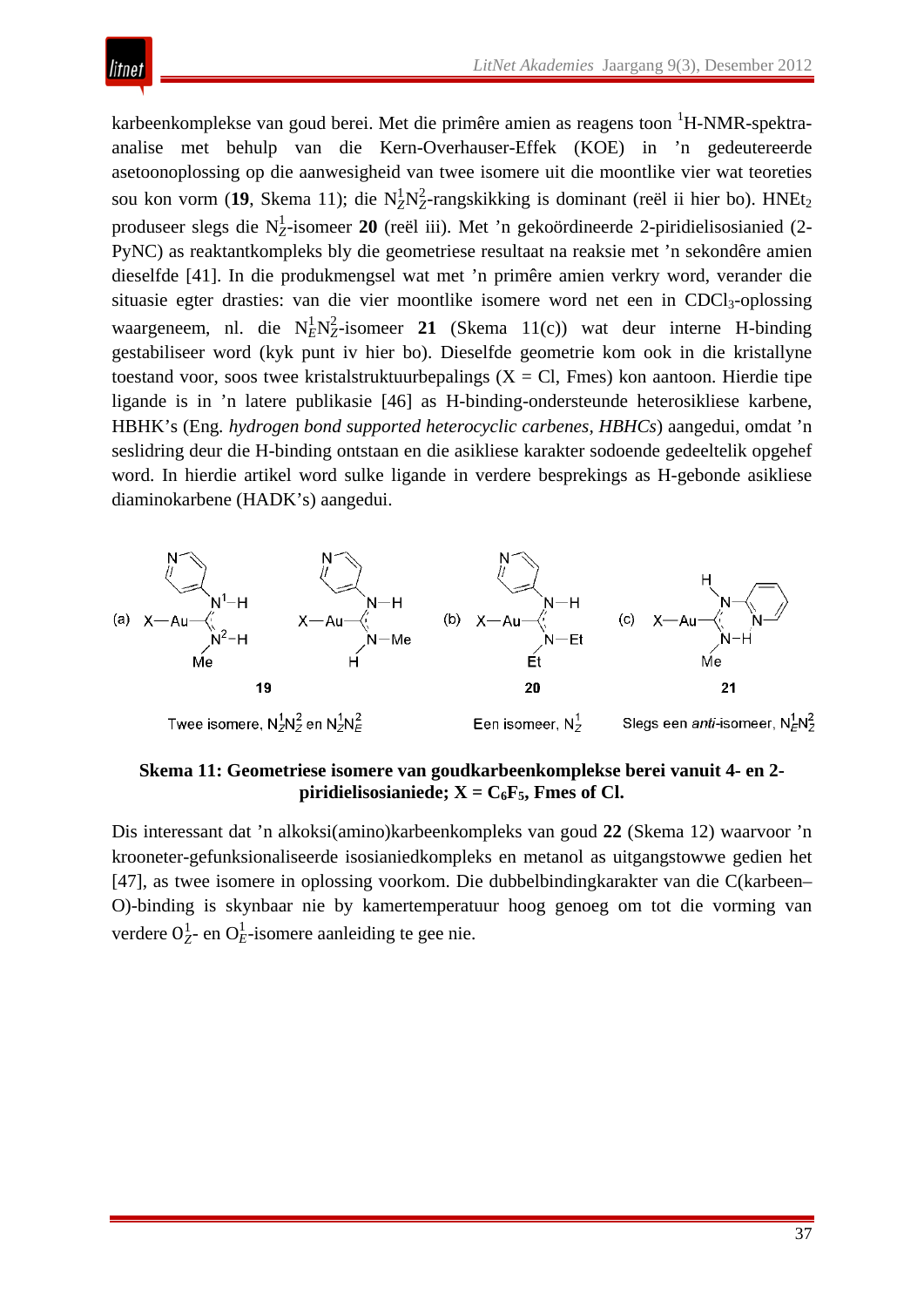karbeenkomplekse van goud berei. Met die primêre amien as reagens toon <sup>1</sup>H-NMR-spektraanalise met behulp van die Kern-Overhauser-Effek (KOE) in 'n gedeutereerde asetoonoplossing op die aanwesigheid van twee isomere uit die moontlike vier wat teoreties sou kon vorm (19, Skema 11); die N<sub>Z</sub>N<sub>Z</sub>-rangskikking is dominant (reël ii hier bo). HNEt<sub>2</sub> produseer slegs die N*<sup>Z</sup>* 1-isomeer **20** (reël iii). Met 'n gekoördineerde 2-piridielisosianied (2- PyNC) as reaktantkompleks bly die geometriese resultaat na reaksie met 'n sekondêre amien dieselfde [41]. In die produkmengsel wat met 'n primêre amien verkry word, verander die situasie egter drasties: van die vier moontlike isomere word net een in CDCl<sub>3</sub>-oplossing waargeneem, nl. die  $N_E^1 N_Z^2$ -isomeer 21 (Skema 11(c)) wat deur interne H-binding gestabiliseer word (kyk punt iv hier bo). Dieselfde geometrie kom ook in die kristallyne toestand voor, soos twee kristalstruktuurbepalings  $(X = Cl, Fmes)$  kon aantoon. Hierdie tipe ligande is in 'n latere publikasie [46] as H-binding-ondersteunde heterosikliese karbene, HBHK's (Eng*. hydrogen bond supported heterocyclic carbenes, HBHCs*) aangedui, omdat 'n seslidring deur die H-binding ontstaan en die asikliese karakter sodoende gedeeltelik opgehef word. In hierdie artikel word sulke ligande in verdere besprekings as H-gebonde asikliese diaminokarbene (HADK's) aangedui.



**Skema 11: Geometriese isomere van goudkarbeenkomplekse berei vanuit 4- en 2** piridielisosianiede;  $X = C_6F_5$ , Fmes of Cl.

Dis interessant dat 'n alkoksi(amino)karbeenkompleks van goud **22** (Skema 12) waarvoor 'n krooneter-gefunksionaliseerde isosianiedkompleks en metanol as uitgangstowwe gedien het [47], as twee isomere in oplossing voorkom. Die dubbelbindingkarakter van die C(karbeen– O)-binding is skynbaar nie by kamertemperatuur hoog genoeg om tot die vorming van verdere  $O_Z^1$ - en  $O_E^1$ -isomere aanleiding te gee nie.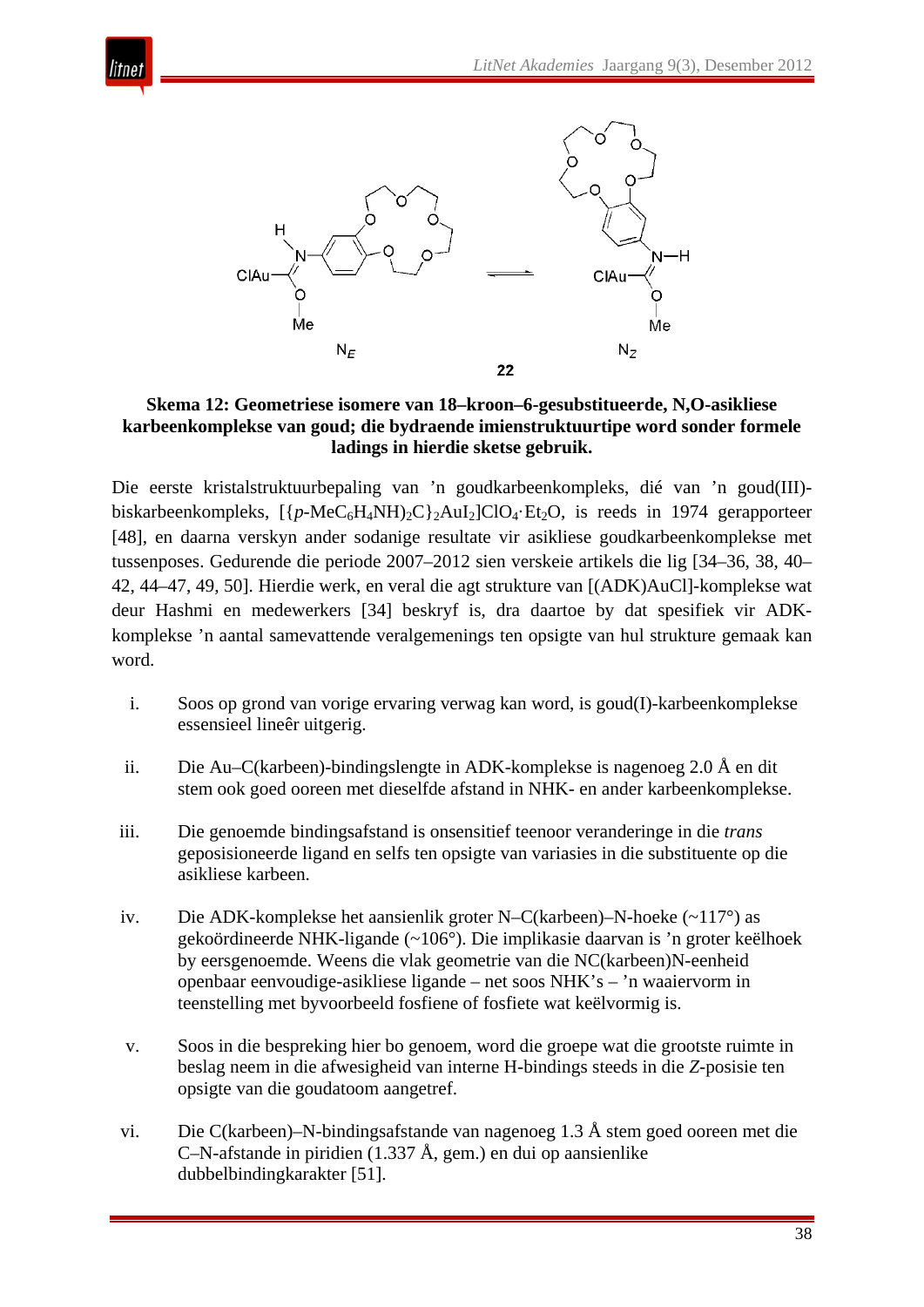

**Skema 12: Geometriese isomere van 18–kroon–6-gesubstitueerde, N,O-asikliese karbeenkomplekse van goud; die bydraende imienstruktuurtipe word sonder formele ladings in hierdie sketse gebruik.**

Die eerste kristalstruktuurbepaling van 'n goudkarbeenkompleks, dié van 'n goud(III) biskarbeenkompleks,  $[{p-MeC_6H_4NH}_2C_2AuI_2]ClO_4·Et_2O$ , is reeds in 1974 gerapporteer [48], en daarna verskyn ander sodanige resultate vir asikliese goudkarbeenkomplekse met tussenposes. Gedurende die periode 2007–2012 sien verskeie artikels die lig [34–36, 38, 40– 42, 44–47, 49, 50]. Hierdie werk, en veral die agt strukture van [(ADK)AuCl]-komplekse wat deur Hashmi en medewerkers [34] beskryf is, dra daartoe by dat spesifiek vir ADKkomplekse 'n aantal samevattende veralgemenings ten opsigte van hul strukture gemaak kan word.

- i. Soos op grond van vorige ervaring verwag kan word, is goud(I)-karbeenkomplekse essensieel lineêr uitgerig.
- ii. Die Au–C(karbeen)-bindingslengte in ADK-komplekse is nagenoeg 2.0 Å en dit stem ook goed ooreen met dieselfde afstand in NHK- en ander karbeenkomplekse.
- iii. Die genoemde bindingsafstand is onsensitief teenoor veranderinge in die *trans* geposisioneerde ligand en selfs ten opsigte van variasies in die substituente op die asikliese karbeen.
- iv. Die ADK-komplekse het aansienlik groter N–C(karbeen)–N-hoeke (~117°) as gekoördineerde NHK-ligande (~106°). Die implikasie daarvan is 'n groter keëlhoek by eersgenoemde. Weens die vlak geometrie van die NC(karbeen)N-eenheid openbaar eenvoudige-asikliese ligande – net soos NHK's – 'n waaiervorm in teenstelling met byvoorbeeld fosfiene of fosfiete wat keëlvormig is.
- v. Soos in die bespreking hier bo genoem, word die groepe wat die grootste ruimte in beslag neem in die afwesigheid van interne H-bindings steeds in die *Z*-posisie ten opsigte van die goudatoom aangetref.
- vi. Die C(karbeen)–N-bindingsafstande van nagenoeg 1.3 Å stem goed ooreen met die C–N-afstande in piridien  $(1.337 \text{ Å}, \text{gem.})$  en dui op aansienlike dubbelbindingkarakter [51].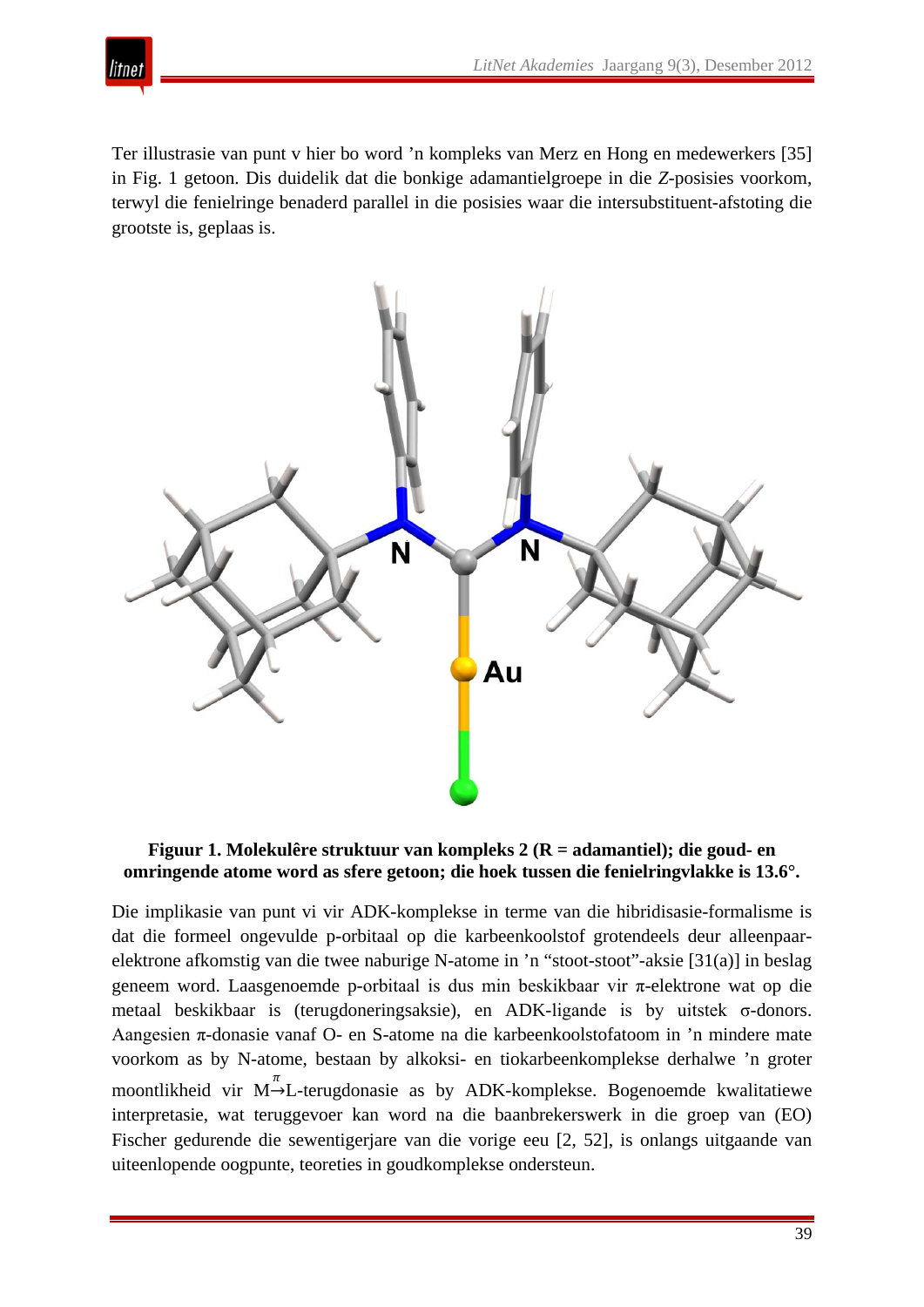Ter illustrasie van punt v hier bo word 'n kompleks van Merz en Hong en medewerkers [35] in Fig. 1 getoon. Dis duidelik dat die bonkige adamantielgroepe in die *Z*-posisies voorkom, terwyl die fenielringe benaderd parallel in die posisies waar die intersubstituent-afstoting die grootste is, geplaas is.

itnet



#### **Figuur 1. Molekulêre struktuur van kompleks 2 (R = adamantiel); die goud- en omringende atome word as sfere getoon; die hoek tussen die fenielringvlakke is 13.6°.**

Die implikasie van punt vi vir ADK-komplekse in terme van die hibridisasie-formalisme is dat die formeel ongevulde p-orbitaal op die karbeenkoolstof grotendeels deur alleenpaarelektrone afkomstig van die twee naburige N-atome in 'n "stoot-stoot"-aksie [31(a)] in beslag geneem word. Laasgenoemde p-orbitaal is dus min beskikbaar vir π-elektrone wat op die metaal beskikbaar is (terugdoneringsaksie), en ADK-ligande is by uitstek σ-donors. Aangesien π-donasie vanaf O- en S-atome na die karbeenkoolstofatoom in 'n mindere mate voorkom as by N-atome, bestaan by alkoksi- en tiokarbeenkomplekse derhalwe 'n groter moontlikheid vir  $M \rightarrow L$ -terugdonasie as by ADK-komplekse. Bogenoemde kwalitatiewe interpretasie, wat teruggevoer kan word na die baanbrekerswerk in die groep van (EO) Fischer gedurende die sewentigerjare van die vorige eeu [2, 52], is onlangs uitgaande van uiteenlopende oogpunte, teoreties in goudkomplekse ondersteun.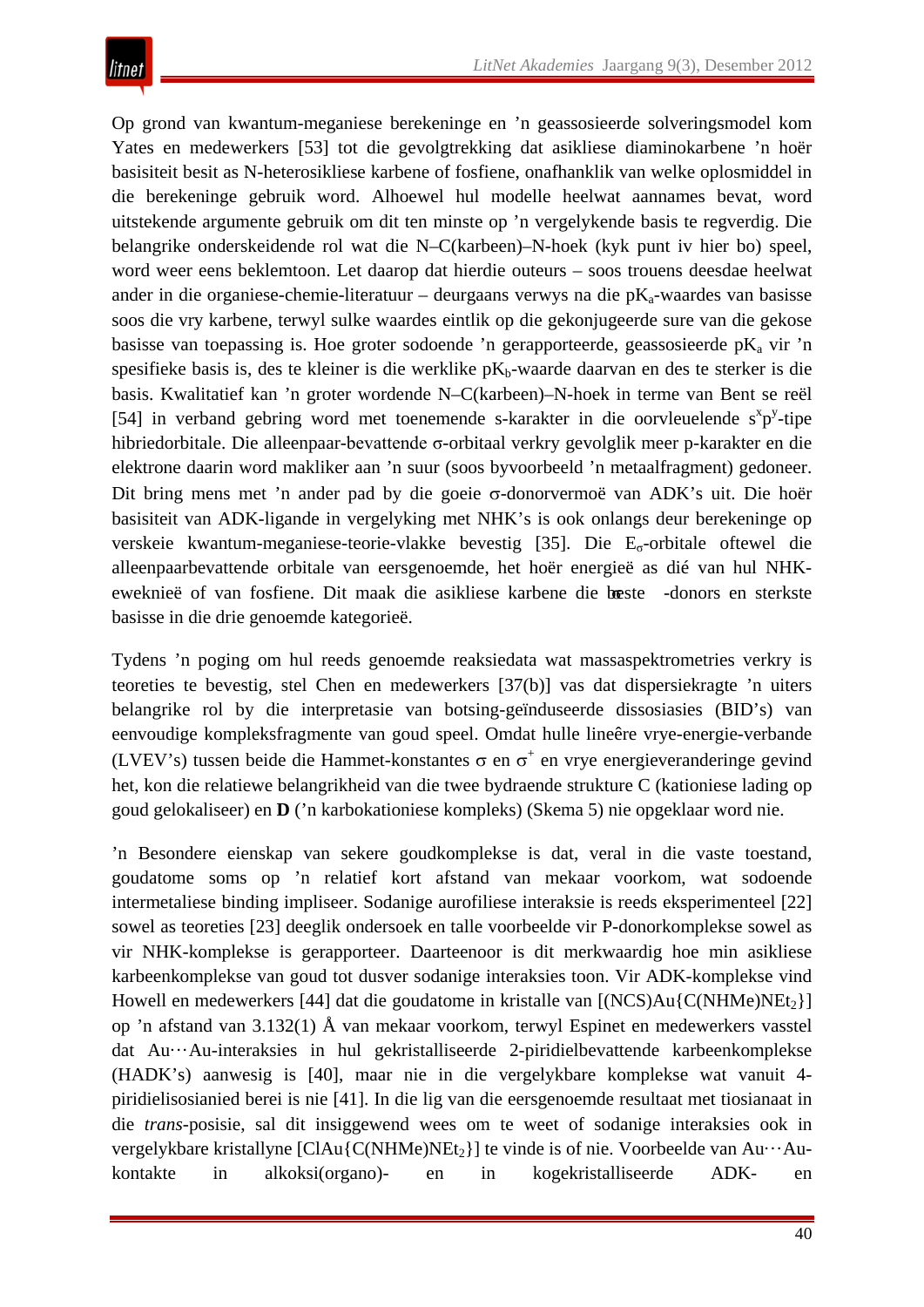Op grond van kwantum-meganiese berekeninge en 'n geassosieerde solveringsmodel kom Yates en medewerkers [53] tot die gevolgtrekking dat asikliese diaminokarbene 'n hoër basisiteit besit as N-heterosikliese karbene of fosfiene, onafhanklik van welke oplosmiddel in die berekeninge gebruik word. Alhoewel hul modelle heelwat aannames bevat, word uitstekende argumente gebruik om dit ten minste op 'n vergelykende basis te regverdig. Die belangrike onderskeidende rol wat die N–C(karbeen)–N-hoek (kyk punt iv hier bo) speel, word weer eens beklemtoon. Let daarop dat hierdie outeurs – soos trouens deesdae heelwat ander in die organiese-chemie-literatuur – deurgaans verwys na die  $pK_a$ -waardes van basisse soos die vry karbene, terwyl sulke waardes eintlik op die gekonjugeerde sure van die gekose basisse van toepassing is. Hoe groter sodoende 'n gerapporteerde, geassosieerde p $K_a$  vir 'n spesifieke basis is, des te kleiner is die werklike  $pK_b$ -waarde daarvan en des te sterker is die basis. Kwalitatief kan 'n groter wordende N–C(karbeen)–N-hoek in terme van Bent se reël [54] in verband gebring word met toenemende s-karakter in die oorvleuelende s<sup>x</sup>p<sup>y</sup>-tipe hibriedorbitale. Die alleenpaar-bevattende σ-orbitaal verkry gevolglik meer p-karakter en die elektrone daarin word makliker aan 'n suur (soos byvoorbeeld 'n metaalfragment) gedoneer. Dit bring mens met 'n ander pad by die goeie σ-donorvermoë van ADK's uit. Die hoër basisiteit van ADK-ligande in vergelyking met NHK's is ook onlangs deur berekeninge op verskeie kwantum-meganiese-teorie-vlakke bevestig [35]. Die  $E_{\sigma}$ -orbitale oftewel die alleenpaarbevattende orbitale van eersgenoemde, het hoër energieë as dié van hul NHKeweknieë of van fosfiene. Dit maak die asikliese karbene die beste -donors en sterkste basisse in die drie genoemde kategorieë.

Tydens 'n poging om hul reeds genoemde reaksiedata wat massaspektrometries verkry is teoreties te bevestig, stel Chen en medewerkers [37(b)] vas dat dispersiekragte 'n uiters belangrike rol by die interpretasie van botsing-geïnduseerde dissosiasies (BID's) van eenvoudige kompleksfragmente van goud speel. Omdat hulle lineêre vrye-energie-verbande (LVEV's) tussen beide die Hammet-konstantes  $\sigma$  en  $\sigma^+$  en vrye energieveranderinge gevind het, kon die relatiewe belangrikheid van die twee bydraende strukture C (kationiese lading op goud gelokaliseer) en **D** ('n karbokationiese kompleks) (Skema 5) nie opgeklaar word nie.

'n Besondere eienskap van sekere goudkomplekse is dat, veral in die vaste toestand, goudatome soms op 'n relatief kort afstand van mekaar voorkom, wat sodoende intermetaliese binding impliseer. Sodanige aurofiliese interaksie is reeds eksperimenteel [22] sowel as teoreties [23] deeglik ondersoek en talle voorbeelde vir P-donorkomplekse sowel as vir NHK-komplekse is gerapporteer. Daarteenoor is dit merkwaardig hoe min asikliese karbeenkomplekse van goud tot dusver sodanige interaksies toon. Vir ADK-komplekse vind Howell en medewerkers [44] dat die goudatome in kristalle van  $[(NCS)Au{C(NHMe)NEt<sub>2</sub>}]$ op 'n afstand van 3.132(1) Å van mekaar voorkom, terwyl Espinet en medewerkers vasstel dat Au···Au-interaksies in hul gekristalliseerde 2-piridielbevattende karbeenkomplekse (HADK's) aanwesig is [40], maar nie in die vergelykbare komplekse wat vanuit 4 piridielisosianied berei is nie [41]. In die lig van die eersgenoemde resultaat met tiosianaat in die *trans*-posisie, sal dit insiggewend wees om te weet of sodanige interaksies ook in vergelykbare kristallyne  $[CIAu{C(NHMe)NEt_2}]$  te vinde is of nie. Voorbeelde van Au $\cdots$ Aukontakte in alkoksi(organo)- en in kogekristalliseerde ADK- en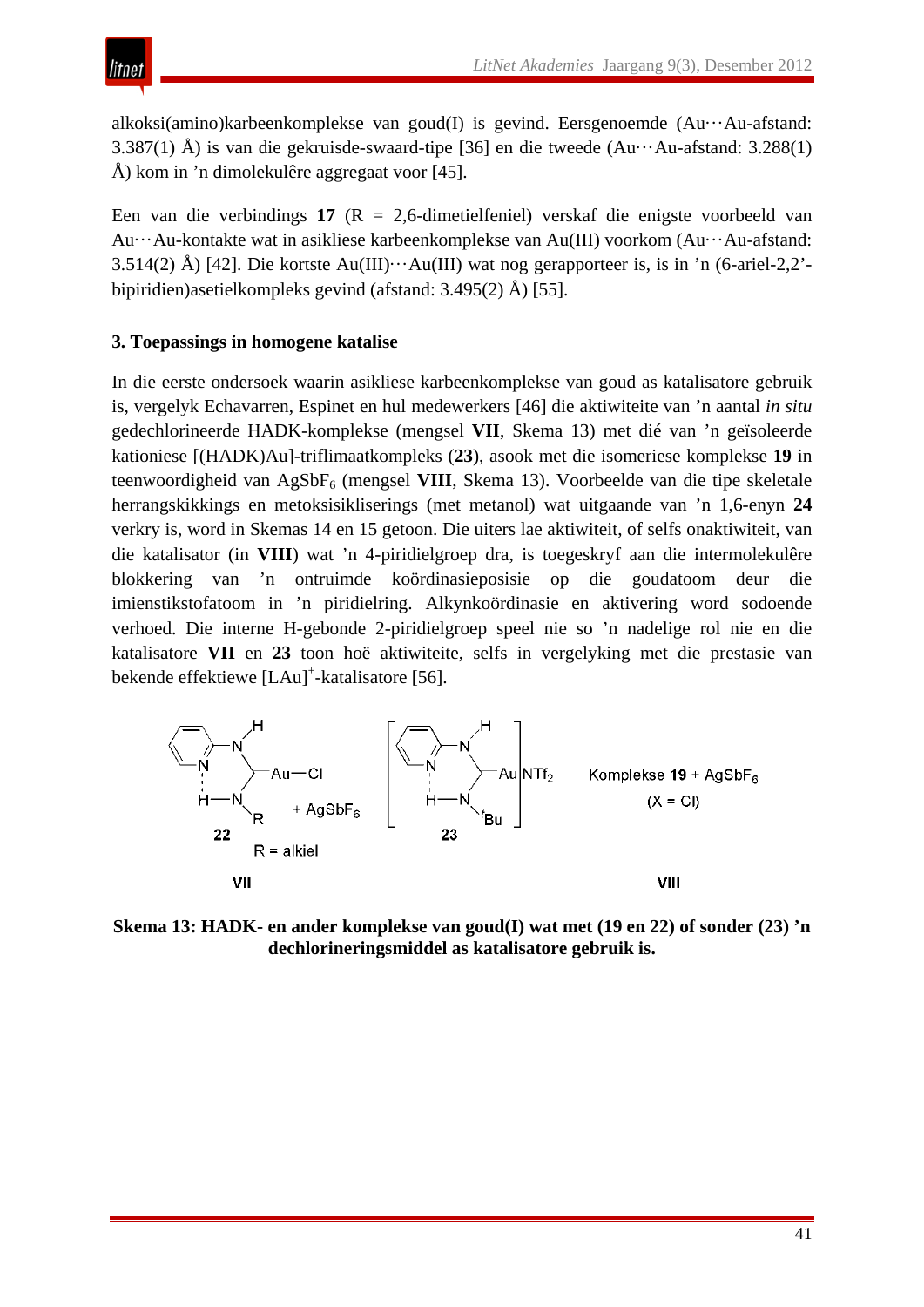alkoksi(amino)karbeenkomplekse van goud(I) is gevind. Eersgenoemde (Au···Au-afstand: 3.387(1) Å) is van die gekruisde-swaard-tipe [36] en die tweede (Au···Au-afstand: 3.288(1) Å) kom in 'n dimolekulêre aggregaat voor [45].

Een van die verbindings **17** (R = 2,6-dimetielfeniel) verskaf die enigste voorbeeld van Au···Au-kontakte wat in asikliese karbeenkomplekse van Au(III) voorkom (Au···Au-afstand: 3.514(2) Å) [42]. Die kortste Au(III)··· Au(III) wat nog gerapporteer is, is in 'n (6-ariel-2,2'bipiridien)asetielkompleks gevind (afstand: 3.495(2) Å) [55].

# **3. Toepassings in homogene katalise**

In die eerste ondersoek waarin asikliese karbeenkomplekse van goud as katalisatore gebruik is, vergelyk Echavarren, Espinet en hul medewerkers [46] die aktiwiteite van 'n aantal *in situ* gedechlorineerde HADK-komplekse (mengsel **VII**, Skema 13) met dié van 'n geïsoleerde kationiese [(HADK)Au]-triflimaatkompleks (**23**), asook met die isomeriese komplekse **19** in teenwoordigheid van AgSbF6 (mengsel **VIII**, Skema 13). Voorbeelde van die tipe skeletale herrangskikkings en metoksisikliserings (met metanol) wat uitgaande van 'n 1,6-enyn **24** verkry is, word in Skemas 14 en 15 getoon. Die uiters lae aktiwiteit, of selfs onaktiwiteit, van die katalisator (in **VIII**) wat 'n 4-piridielgroep dra, is toegeskryf aan die intermolekulêre blokkering van 'n ontruimde koördinasieposisie op die goudatoom deur die imienstikstofatoom in 'n piridielring. Alkynkoördinasie en aktivering word sodoende verhoed. Die interne H-gebonde 2-piridielgroep speel nie so 'n nadelige rol nie en die katalisatore **VII** en **23** toon hoë aktiwiteite, selfs in vergelyking met die prestasie van bekende effektiewe [LAu]<sup>+</sup>-katalisatore [56].



**Skema 13: HADK- en ander komplekse van goud(I) wat met (19 en 22) of sonder (23) 'n dechlorineringsmiddel as katalisatore gebruik is.**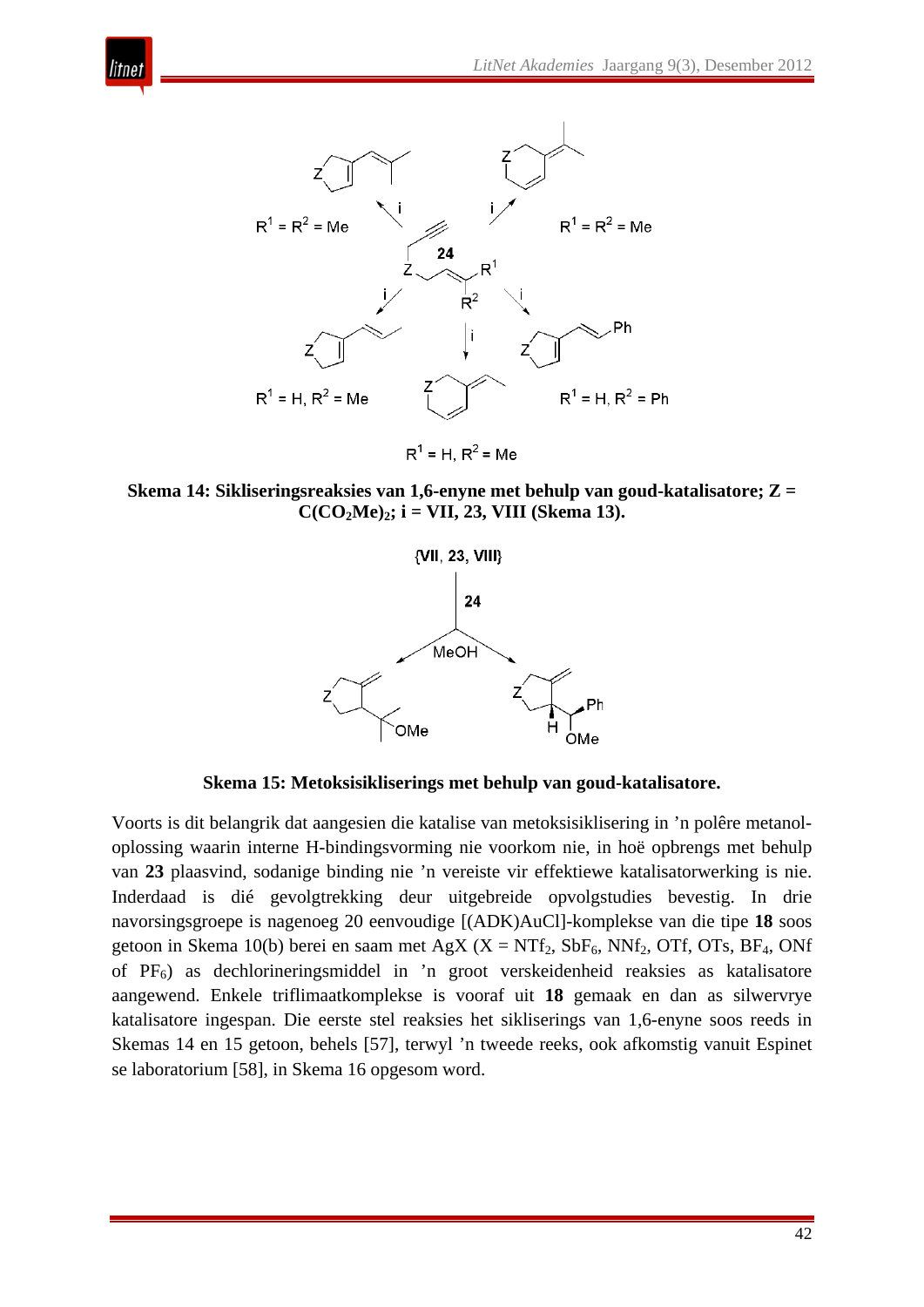

tnei

 $R^1$  = H,  $R^2$  = Me

**Skema 14: Sikliseringsreaksies van 1,6-enyne met behulp van goud-katalisatore; Z = C(CO2Me)2; i = VII, 23, VIII (Skema 13).**



**Skema 15: Metoksisikliserings met behulp van goud-katalisatore.**

Voorts is dit belangrik dat aangesien die katalise van metoksisiklisering in 'n polêre metanoloplossing waarin interne H-bindingsvorming nie voorkom nie, in hoë opbrengs met behulp van **23** plaasvind, sodanige binding nie 'n vereiste vir effektiewe katalisatorwerking is nie. Inderdaad is dié gevolgtrekking deur uitgebreide opvolgstudies bevestig. In drie navorsingsgroepe is nagenoeg 20 eenvoudige [(ADK)AuCl]-komplekse van die tipe **18** soos getoon in Skema 10(b) berei en saam met AgX ( $X = N T f_2$ ,  $SbF_6$ ,  $N N f_2$ ,  $O T f$ ,  $O T s$ ,  $B F_4$ ,  $O N f$ of PF6) as dechlorineringsmiddel in 'n groot verskeidenheid reaksies as katalisatore aangewend. Enkele triflimaatkomplekse is vooraf uit **18** gemaak en dan as silwervrye katalisatore ingespan. Die eerste stel reaksies het sikliserings van 1,6-enyne soos reeds in Skemas 14 en 15 getoon, behels [57], terwyl 'n tweede reeks, ook afkomstig vanuit Espinet se laboratorium [58], in Skema 16 opgesom word.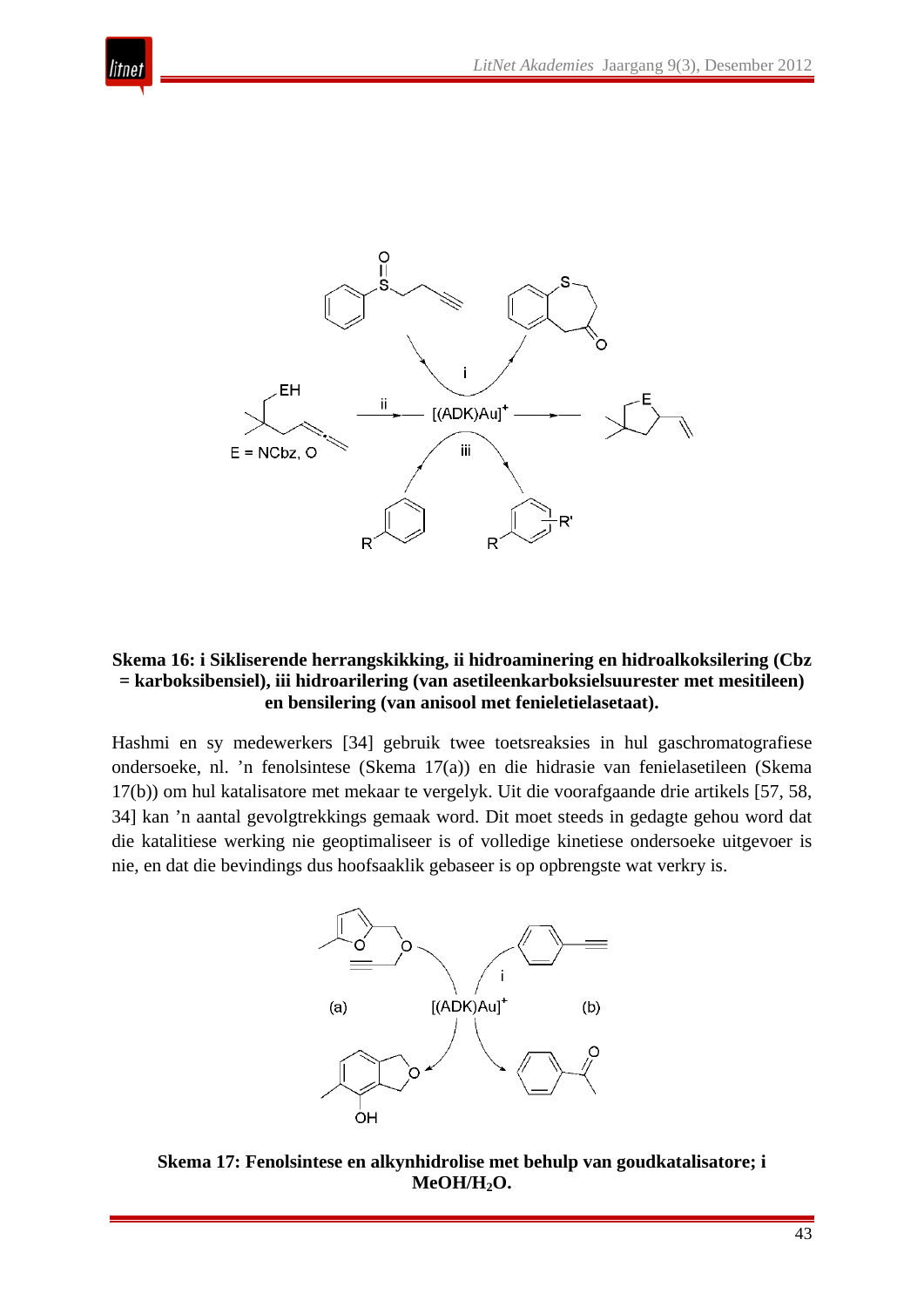



## **Skema 16: i Sikliserende herrangskikking, ii hidroaminering en hidroalkoksilering (Cbz = karboksibensiel), iii hidroarilering (van asetileenkarboksielsuurester met mesitileen) en bensilering (van anisool met fenieletielasetaat).**

Hashmi en sy medewerkers [34] gebruik twee toetsreaksies in hul gaschromatografiese ondersoeke, nl. 'n fenolsintese (Skema 17(a)) en die hidrasie van fenielasetileen (Skema 17(b)) om hul katalisatore met mekaar te vergelyk. Uit die voorafgaande drie artikels [57, 58, 34] kan 'n aantal gevolgtrekkings gemaak word. Dit moet steeds in gedagte gehou word dat die katalitiese werking nie geoptimaliseer is of volledige kinetiese ondersoeke uitgevoer is nie, en dat die bevindings dus hoofsaaklik gebaseer is op opbrengste wat verkry is.



**Skema 17: Fenolsintese en alkynhidrolise met behulp van goudkatalisatore; i MeOH/H2O.**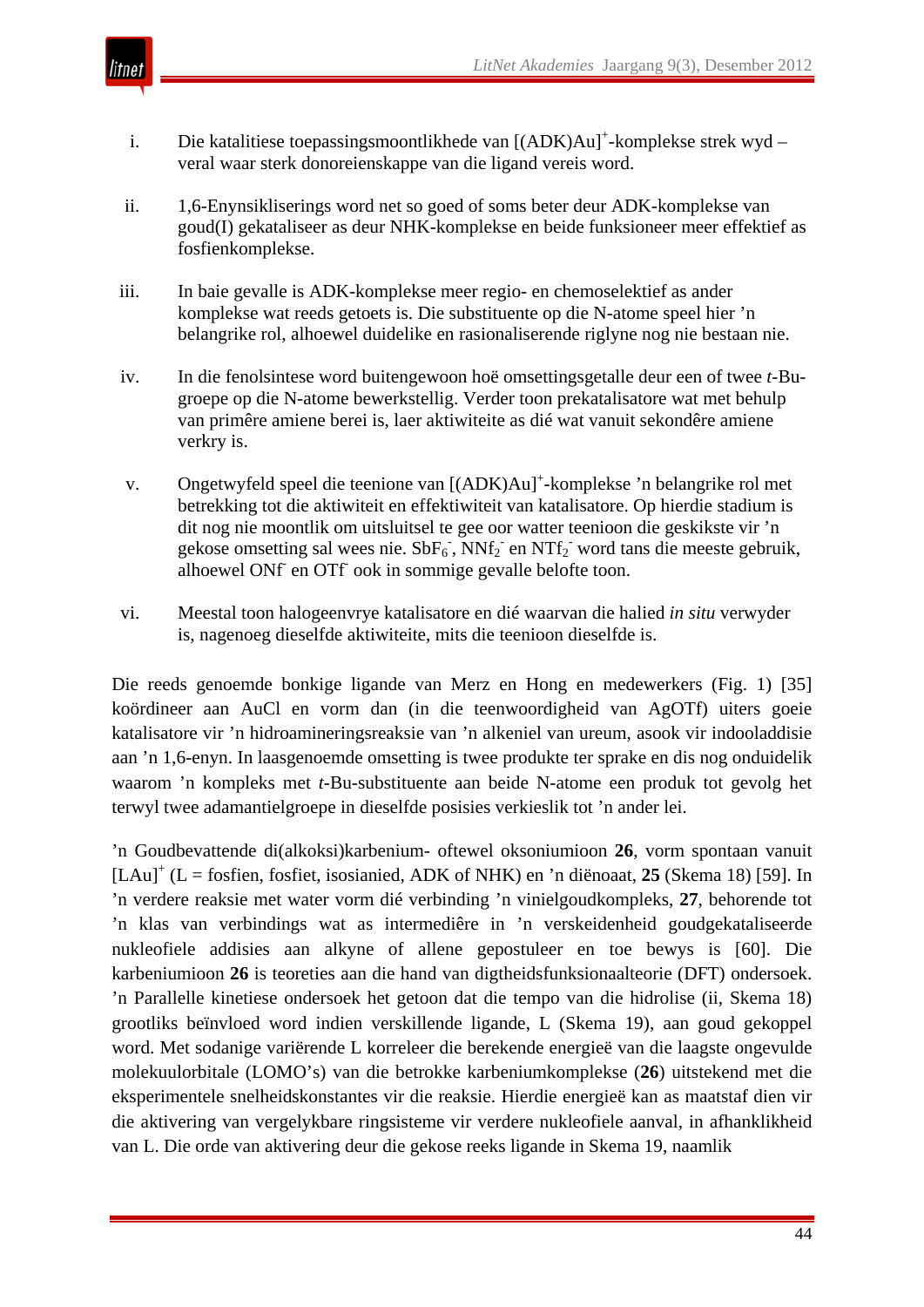i. Die katalitiese toepassingsmoontlikhede van [(ADK)Au]+-komplekse strek wyd – veral waar sterk donoreienskappe van die ligand vereis word.

tnei

- ii. 1,6-Enynsikliserings word net so goed of soms beter deur ADK-komplekse van goud(I) gekataliseer as deur NHK-komplekse en beide funksioneer meer effektief as fosfienkomplekse.
- iii. In baie gevalle is ADK-komplekse meer regio- en chemoselektief as ander komplekse wat reeds getoets is. Die substituente op die N-atome speel hier 'n belangrike rol, alhoewel duidelike en rasionaliserende riglyne nog nie bestaan nie.
- iv. In die fenolsintese word buitengewoon hoë omsettingsgetalle deur een of twee *t*-Bugroepe op die N-atome bewerkstellig. Verder toon prekatalisatore wat met behulp van primêre amiene berei is, laer aktiwiteite as dié wat vanuit sekondêre amiene verkry is.
- v. Ongetwyfeld speel die teenione van [(ADK)Au]<sup>+</sup>-komplekse 'n belangrike rol met betrekking tot die aktiwiteit en effektiwiteit van katalisatore. Op hierdie stadium is dit nog nie moontlik om uitsluitsel te gee oor watter teenioon die geskikste vir 'n gekose omsetting sal wees nie. SbF<sub>6</sub>, NNf<sub>2</sub> en NTf<sub>2</sub> word tans die meeste gebruik, alhoewel ONf- en OTf- ook in sommige gevalle belofte toon.
- vi. Meestal toon halogeenvrye katalisatore en dié waarvan die halied *in situ* verwyder is, nagenoeg dieselfde aktiwiteite, mits die teenioon dieselfde is.

Die reeds genoemde bonkige ligande van Merz en Hong en medewerkers (Fig. 1) [35] koördineer aan AuCl en vorm dan (in die teenwoordigheid van AgOTf) uiters goeie katalisatore vir 'n hidroamineringsreaksie van 'n alkeniel van ureum, asook vir indooladdisie aan 'n 1,6-enyn. In laasgenoemde omsetting is twee produkte ter sprake en dis nog onduidelik waarom 'n kompleks met *t*-Bu-substituente aan beide N-atome een produk tot gevolg het terwyl twee adamantielgroepe in dieselfde posisies verkieslik tot 'n ander lei.

'n Goudbevattende di(alkoksi)karbenium- oftewel oksoniumioon **26**, vorm spontaan vanuit [LAu]+ (L = fosfien, fosfiet, isosianied, ADK of NHK) en 'n diënoaat, **25** (Skema 18) [59]. In 'n verdere reaksie met water vorm dié verbinding 'n vinielgoudkompleks, **27**, behorende tot 'n klas van verbindings wat as intermediêre in 'n verskeidenheid goudgekataliseerde nukleofiele addisies aan alkyne of allene gepostuleer en toe bewys is [60]. Die karbeniumioon **26** is teoreties aan die hand van digtheidsfunksionaalteorie (DFT) ondersoek. 'n Parallelle kinetiese ondersoek het getoon dat die tempo van die hidrolise (ii, Skema 18) grootliks beïnvloed word indien verskillende ligande, L (Skema 19), aan goud gekoppel word. Met sodanige variërende L korreleer die berekende energieë van die laagste ongevulde molekuulorbitale (LOMO's) van die betrokke karbeniumkomplekse (**26**) uitstekend met die eksperimentele snelheidskonstantes vir die reaksie. Hierdie energieë kan as maatstaf dien vir die aktivering van vergelykbare ringsisteme vir verdere nukleofiele aanval, in afhanklikheid van L. Die orde van aktivering deur die gekose reeks ligande in Skema 19, naamlik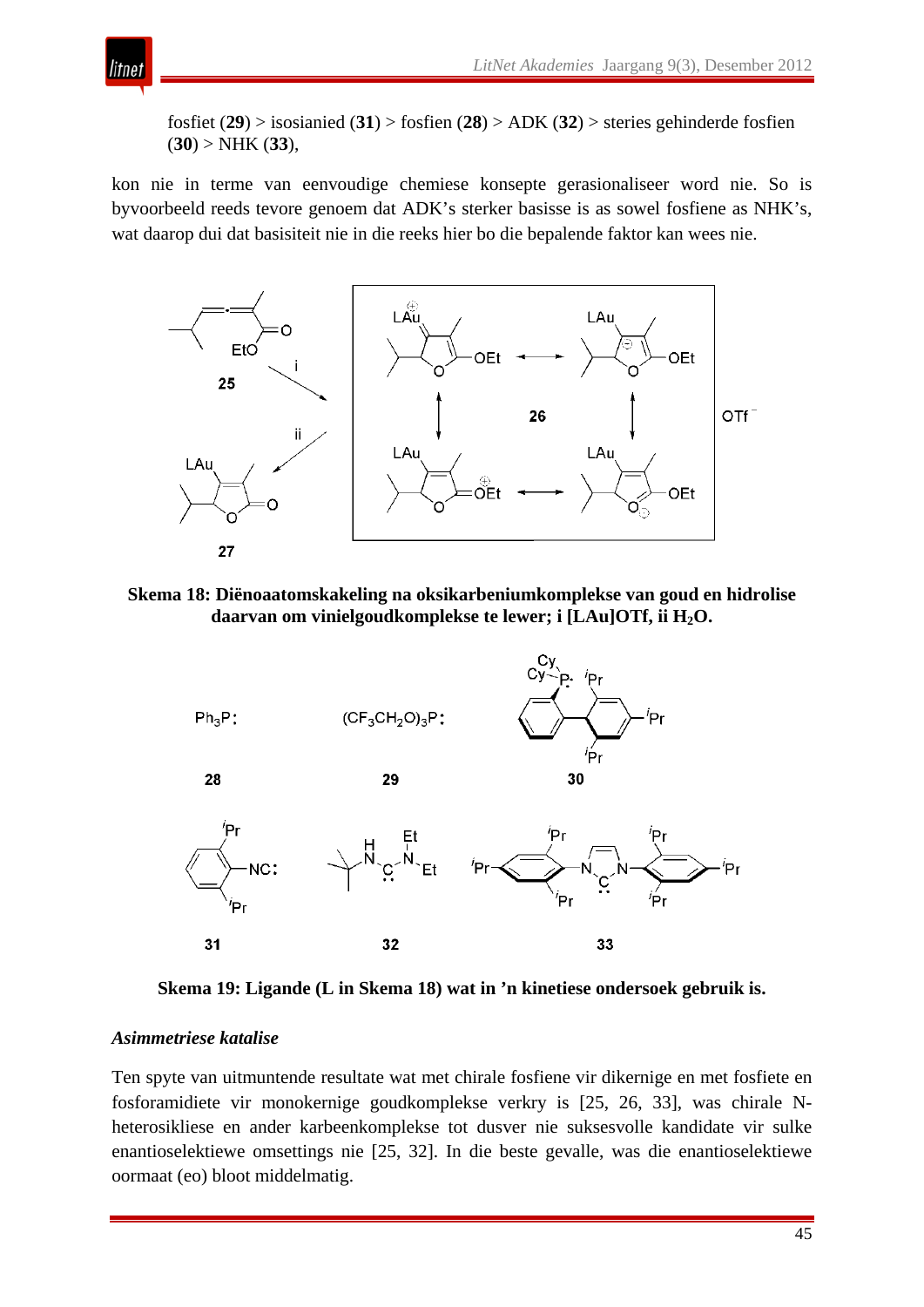fosfiet (**29**) > isosianied (**31**) > fosfien (**28**) > ADK (**32**) > steries gehinderde fosfien (**30**) > NHK (**33**),

kon nie in terme van eenvoudige chemiese konsepte gerasionaliseer word nie. So is byvoorbeeld reeds tevore genoem dat ADK's sterker basisse is as sowel fosfiene as NHK's, wat daarop dui dat basisiteit nie in die reeks hier bo die bepalende faktor kan wees nie.



**Skema 18: Diënoaatomskakeling na oksikarbeniumkomplekse van goud en hidrolise**  daarvan om vinielgoudkomplekse te lewer; i [LAu]OTf, ii H<sub>2</sub>O.



**Skema 19: Ligande (L in Skema 18) wat in 'n kinetiese ondersoek gebruik is.**

#### *Asimmetriese katalise*

litnet

Ten spyte van uitmuntende resultate wat met chirale fosfiene vir dikernige en met fosfiete en fosforamidiete vir monokernige goudkomplekse verkry is [25, 26, 33], was chirale Nheterosikliese en ander karbeenkomplekse tot dusver nie suksesvolle kandidate vir sulke enantioselektiewe omsettings nie [25, 32]. In die beste gevalle, was die enantioselektiewe oormaat (eo) bloot middelmatig.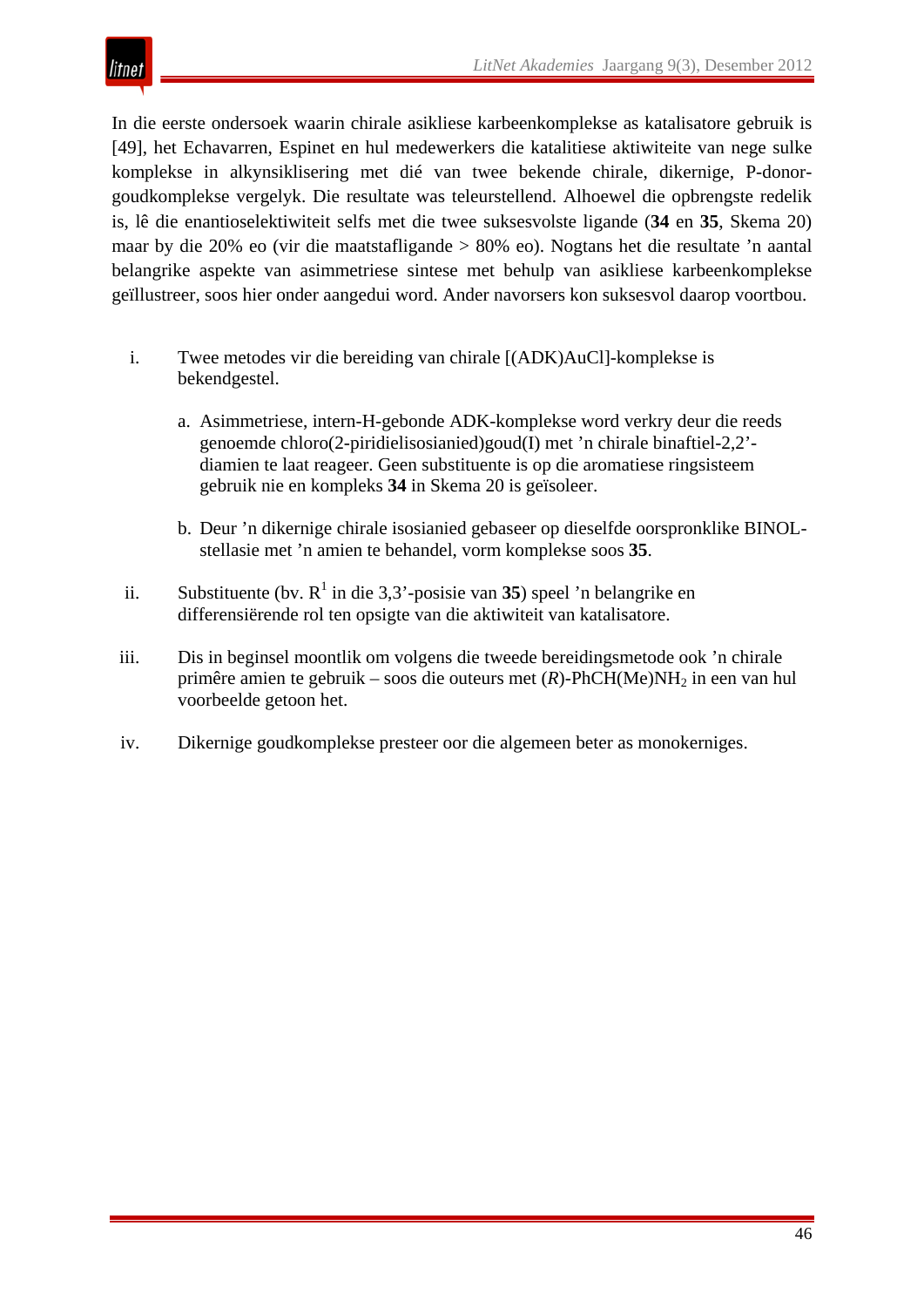

In die eerste ondersoek waarin chirale asikliese karbeenkomplekse as katalisatore gebruik is [49], het Echavarren, Espinet en hul medewerkers die katalitiese aktiwiteite van nege sulke komplekse in alkynsiklisering met dié van twee bekende chirale, dikernige, P-donorgoudkomplekse vergelyk. Die resultate was teleurstellend. Alhoewel die opbrengste redelik is, lê die enantioselektiwiteit selfs met die twee suksesvolste ligande (**34** en **35**, Skema 20) maar by die 20% eo (vir die maatstafligande > 80% eo). Nogtans het die resultate 'n aantal belangrike aspekte van asimmetriese sintese met behulp van asikliese karbeenkomplekse geïllustreer, soos hier onder aangedui word. Ander navorsers kon suksesvol daarop voortbou.

- i. Twee metodes vir die bereiding van chirale [(ADK)AuCl]-komplekse is bekendgestel.
	- a. Asimmetriese, intern-H-gebonde ADK-komplekse word verkry deur die reeds genoemde chloro(2-piridielisosianied)goud(I) met 'n chirale binaftiel-2,2' diamien te laat reageer. Geen substituente is op die aromatiese ringsisteem gebruik nie en kompleks **34** in Skema 20 is geïsoleer.
	- b. Deur 'n dikernige chirale isosianied gebaseer op dieselfde oorspronklike BINOLstellasie met 'n amien te behandel, vorm komplekse soos **35**.
- ii. Substituente (by.  $R^1$  in die 3,3'-posisie van 35) speel 'n belangrike en differensiërende rol ten opsigte van die aktiwiteit van katalisatore.
- iii. Dis in beginsel moontlik om volgens die tweede bereidingsmetode ook 'n chirale primêre amien te gebruik – soos die outeurs met  $(R)$ -PhCH(Me)NH<sub>2</sub> in een van hul voorbeelde getoon het.
- iv. Dikernige goudkomplekse presteer oor die algemeen beter as monokerniges.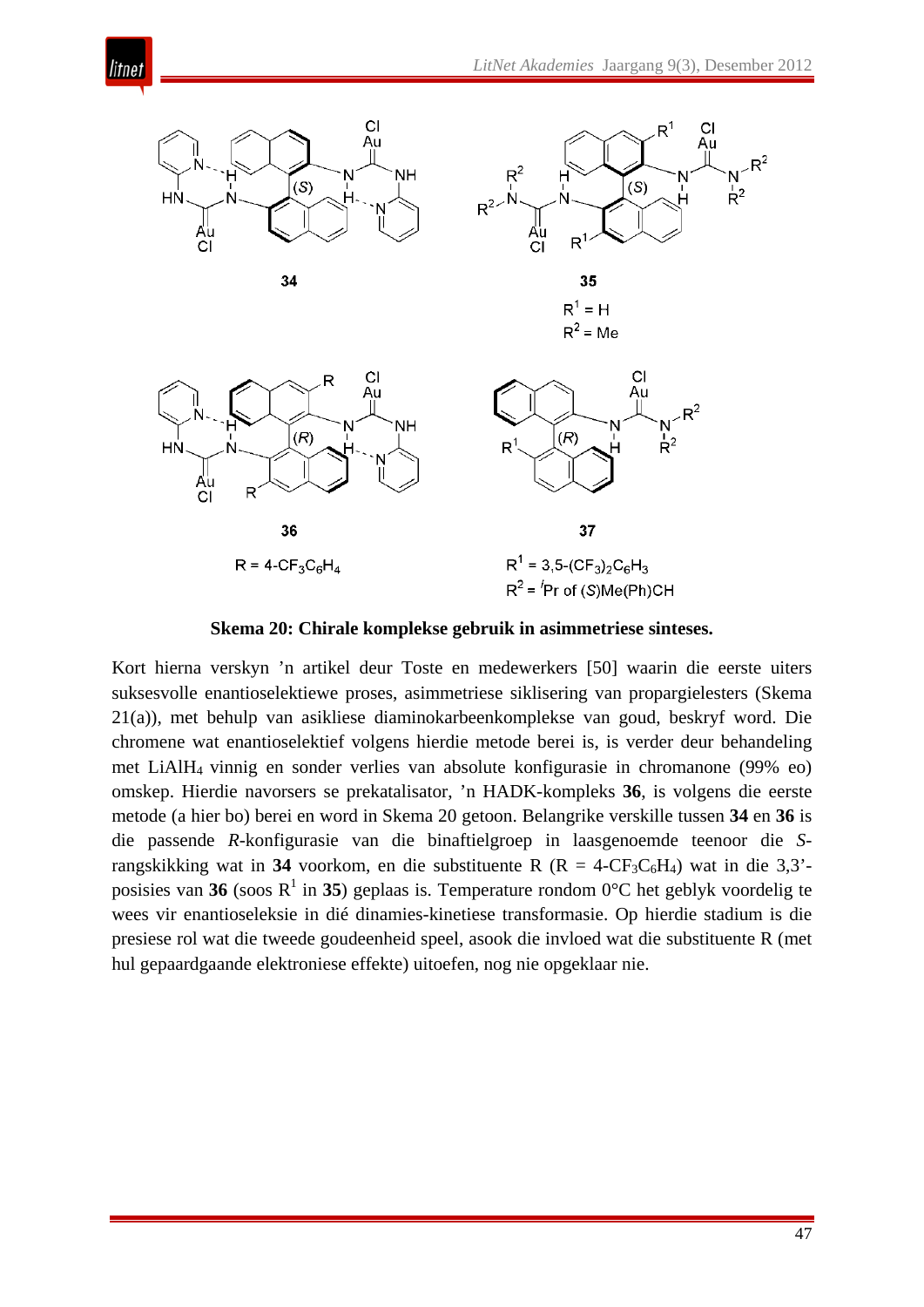

litnet

#### **Skema 20: Chirale komplekse gebruik in asimmetriese sinteses.**

Kort hierna verskyn 'n artikel deur Toste en medewerkers [50] waarin die eerste uiters suksesvolle enantioselektiewe proses, asimmetriese siklisering van propargielesters (Skema 21(a)), met behulp van asikliese diaminokarbeenkomplekse van goud, beskryf word. Die chromene wat enantioselektief volgens hierdie metode berei is, is verder deur behandeling met LiAlH4 vinnig en sonder verlies van absolute konfigurasie in chromanone (99% eo) omskep. Hierdie navorsers se prekatalisator, 'n HADK-kompleks **36**, is volgens die eerste metode (a hier bo) berei en word in Skema 20 getoon. Belangrike verskille tussen **34** en **36** is die passende *R*-konfigurasie van die binaftielgroep in laasgenoemde teenoor die *S*rangskikking wat in 34 voorkom, en die substituente R ( $R = 4-CF_3C_6H_4$ ) wat in die 3,3'posisies van 36 (soos  $R^1$  in 35) geplaas is. Temperature rondom  $0^{\circ}$ C het geblyk voordelig te wees vir enantioseleksie in dié dinamies-kinetiese transformasie. Op hierdie stadium is die presiese rol wat die tweede goudeenheid speel, asook die invloed wat die substituente R (met hul gepaardgaande elektroniese effekte) uitoefen, nog nie opgeklaar nie.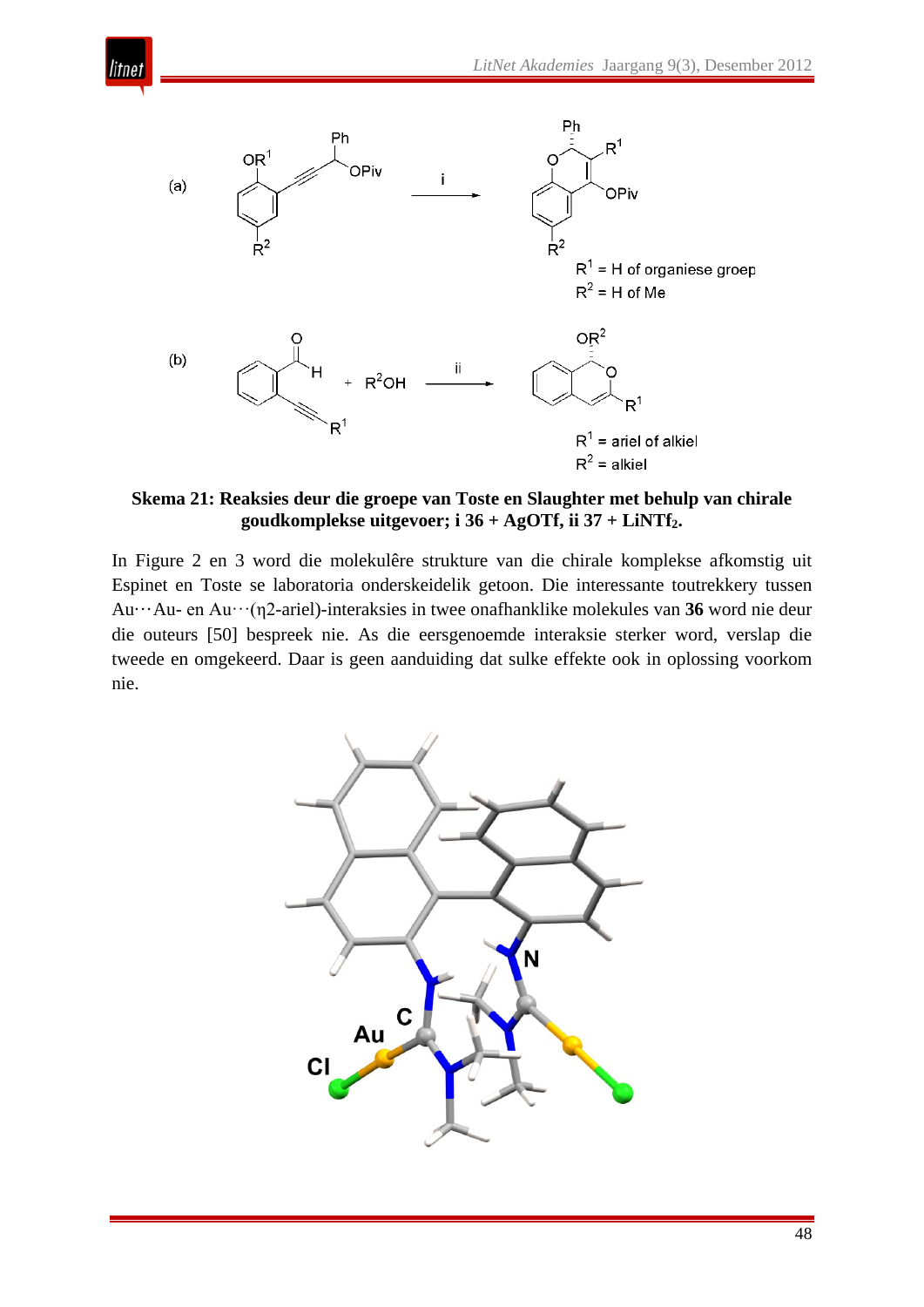

itnet

**Skema 21: Reaksies deur die groepe van Toste en Slaughter met behulp van chirale goudkomplekse uitgevoer; i 36 + AgOTf, ii 37 + LiNTf2.**

In Figure 2 en 3 word die molekulêre strukture van die chirale komplekse afkomstig uit Espinet en Toste se laboratoria onderskeidelik getoon. Die interessante toutrekkery tussen Au···Au- en Au···(η2-ariel)-interaksies in twee onafhanklike molekules van **36** word nie deur die outeurs [50] bespreek nie. As die eersgenoemde interaksie sterker word, verslap die tweede en omgekeerd. Daar is geen aanduiding dat sulke effekte ook in oplossing voorkom nie.

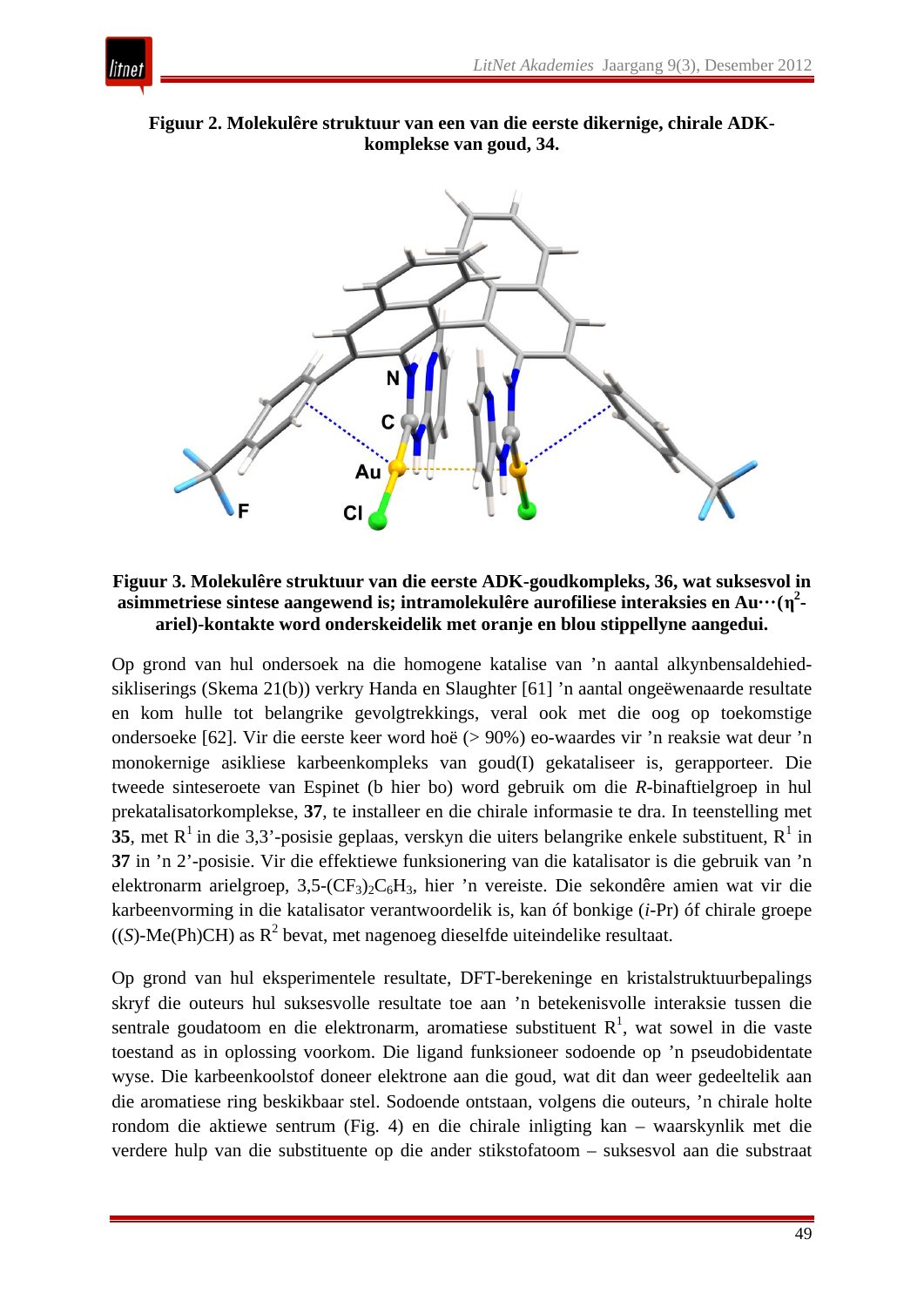

**Figuur 2. Molekulêre struktuur van een van die eerste dikernige, chirale ADKkomplekse van goud, 34.**



# **Figuur 3. Molekulêre struktuur van die eerste ADK-goudkompleks, 36, wat suksesvol in asimmetriese sintese aangewend is; intramolekulêre aurofiliese interaksies en Au···(η<sup>2</sup> ariel)-kontakte word onderskeidelik met oranje en blou stippellyne aangedui.**

Op grond van hul ondersoek na die homogene katalise van 'n aantal alkynbensaldehiedsikliserings (Skema 21(b)) verkry Handa en Slaughter [61] 'n aantal ongeëwenaarde resultate en kom hulle tot belangrike gevolgtrekkings, veral ook met die oog op toekomstige ondersoeke [62]. Vir die eerste keer word hoë (> 90%) eo-waardes vir 'n reaksie wat deur 'n monokernige asikliese karbeenkompleks van goud(I) gekataliseer is, gerapporteer. Die tweede sinteseroete van Espinet (b hier bo) word gebruik om die *R*-binaftielgroep in hul prekatalisatorkomplekse, **37**, te installeer en die chirale informasie te dra. In teenstelling met **35**, met  $R^1$  in die 3,3'-posisie geplaas, verskyn die uiters belangrike enkele substituent,  $R^1$  in **37** in 'n 2'-posisie. Vir die effektiewe funksionering van die katalisator is die gebruik van 'n elektronarm arielgroep,  $3.5-(CF_3)_2C_6H_3$ , hier 'n vereiste. Die sekondêre amien wat vir die karbeenvorming in die katalisator verantwoordelik is, kan óf bonkige (*i-*Pr) óf chirale groepe  $((S)-Me(Ph)CH)$  as  $R^2$  bevat, met nagenoeg dieselfde uiteindelike resultaat.

Op grond van hul eksperimentele resultate, DFT-berekeninge en kristalstruktuurbepalings skryf die outeurs hul suksesvolle resultate toe aan 'n betekenisvolle interaksie tussen die sentrale goudatoom en die elektronarm, aromatiese substituent  $R<sup>1</sup>$ , wat sowel in die vaste toestand as in oplossing voorkom. Die ligand funksioneer sodoende op 'n pseudobidentate wyse. Die karbeenkoolstof doneer elektrone aan die goud, wat dit dan weer gedeeltelik aan die aromatiese ring beskikbaar stel. Sodoende ontstaan, volgens die outeurs, 'n chirale holte rondom die aktiewe sentrum (Fig. 4) en die chirale inligting kan – waarskynlik met die verdere hulp van die substituente op die ander stikstofatoom – suksesvol aan die substraat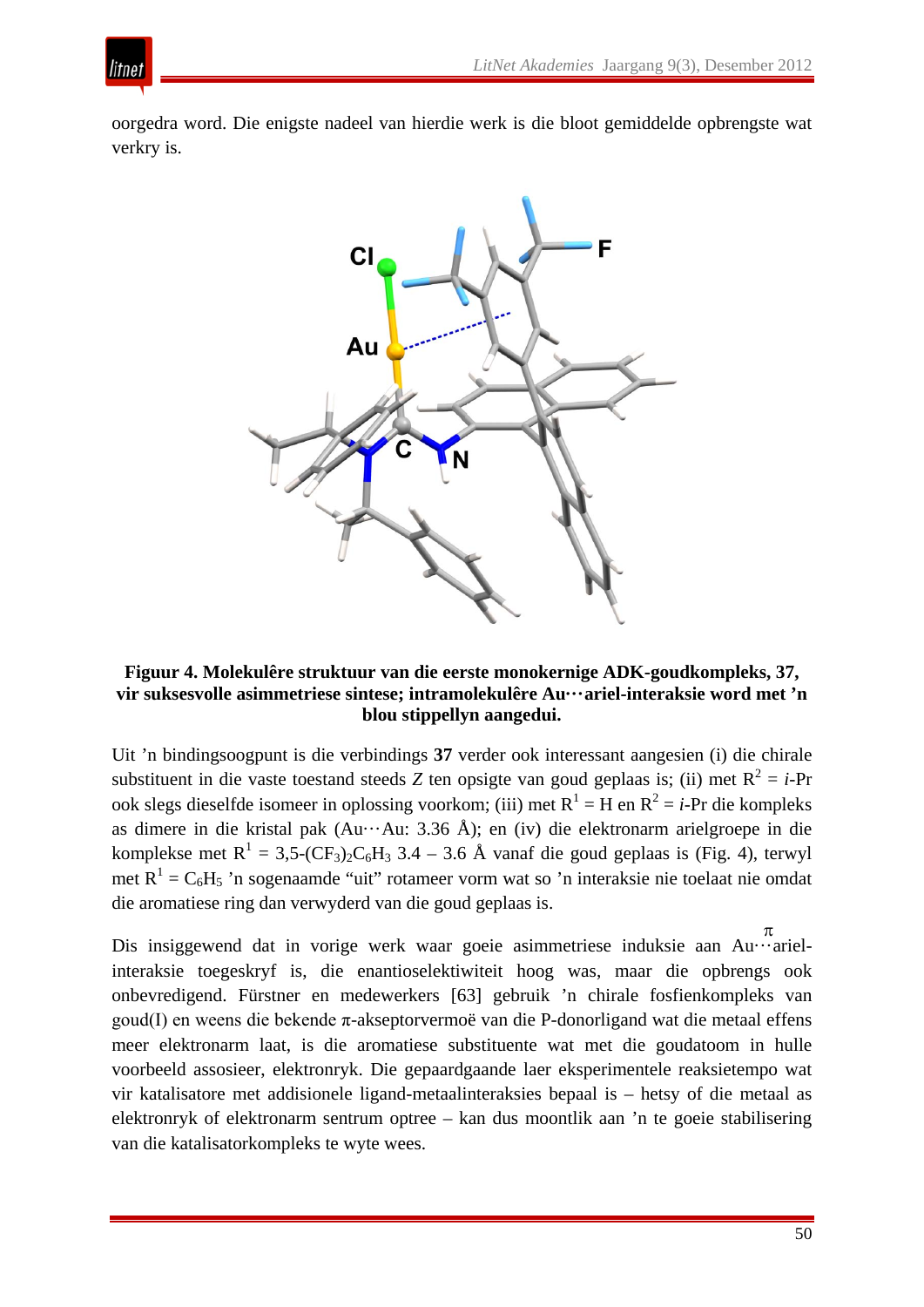

oorgedra word. Die enigste nadeel van hierdie werk is die bloot gemiddelde opbrengste wat verkry is.

itnet

## **Figuur 4. Molekulêre struktuur van die eerste monokernige ADK-goudkompleks, 37, vir suksesvolle asimmetriese sintese; intramolekulêre Au···ariel-interaksie word met 'n blou stippellyn aangedui.**

Uit 'n bindingsoogpunt is die verbindings **37** verder ook interessant aangesien (i) die chirale substituent in die vaste toestand steeds Z ten opsigte van goud geplaas is; (ii) met  $R^2 = i$ -Pr ook slegs dieselfde isomeer in oplossing voorkom; (iii) met  $R^1 = H$  en  $R^2 = i$ -Pr die kompleks as dimere in die kristal pak (Au···Au: 3.36 Å); en (iv) die elektronarm arielgroepe in die komplekse met  $R^1 = 3.5$ -(CF<sub>3</sub>)<sub>2</sub>C<sub>6</sub>H<sub>3</sub> 3.4 – 3.6 Å vanaf die goud geplaas is (Fig. 4), terwyl met  $R^1 = C_6H_5$  'n sogenaamde "uit" rotameer vorm wat so 'n interaksie nie toelaat nie omdat die aromatiese ring dan verwyderd van die goud geplaas is.

Dis insiggewend dat in vorige werk waar goeie asimmetriese induksie aan Au···arielinteraksie toegeskryf is, die enantioselektiwiteit hoog was, maar die opbrengs ook onbevredigend. Fürstner en medewerkers [63] gebruik 'n chirale fosfienkompleks van goud(I) en weens die bekende π-akseptorvermoë van die P-donorligand wat die metaal effens meer elektronarm laat, is die aromatiese substituente wat met die goudatoom in hulle voorbeeld assosieer, elektronryk. Die gepaardgaande laer eksperimentele reaksietempo wat vir katalisatore met addisionele ligand-metaalinteraksies bepaal is – hetsy of die metaal as elektronryk of elektronarm sentrum optree – kan dus moontlik aan 'n te goeie stabilisering van die katalisatorkompleks te wyte wees. π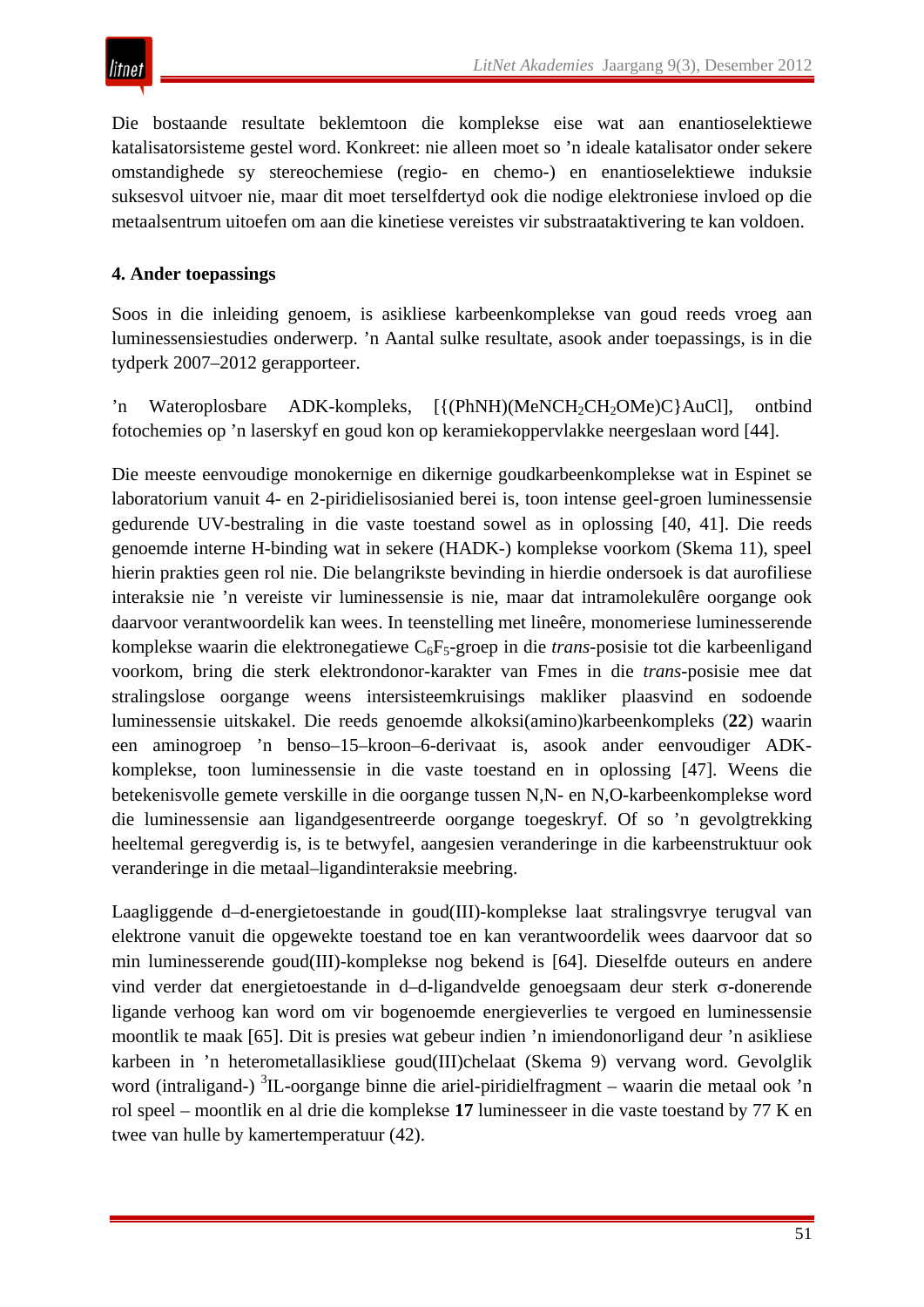Die bostaande resultate beklemtoon die komplekse eise wat aan enantioselektiewe katalisatorsisteme gestel word. Konkreet: nie alleen moet so 'n ideale katalisator onder sekere omstandighede sy stereochemiese (regio- en chemo-) en enantioselektiewe induksie suksesvol uitvoer nie, maar dit moet terselfdertyd ook die nodige elektroniese invloed op die metaalsentrum uitoefen om aan die kinetiese vereistes vir substraataktivering te kan voldoen.

# **4. Ander toepassings**

Soos in die inleiding genoem, is asikliese karbeenkomplekse van goud reeds vroeg aan luminessensiestudies onderwerp. 'n Aantal sulke resultate, asook ander toepassings, is in die tydperk 2007–2012 gerapporteer.

'n Wateroplosbare ADK-kompleks, [{(PhNH)(MeNCH<sub>2</sub>CH<sub>2</sub>OMe)C}AuCl], ontbind fotochemies op 'n laserskyf en goud kon op keramiekoppervlakke neergeslaan word [44].

Die meeste eenvoudige monokernige en dikernige goudkarbeenkomplekse wat in Espinet se laboratorium vanuit 4- en 2-piridielisosianied berei is, toon intense geel-groen luminessensie gedurende UV-bestraling in die vaste toestand sowel as in oplossing [40, 41]. Die reeds genoemde interne H-binding wat in sekere (HADK-) komplekse voorkom (Skema 11), speel hierin prakties geen rol nie. Die belangrikste bevinding in hierdie ondersoek is dat aurofiliese interaksie nie 'n vereiste vir luminessensie is nie, maar dat intramolekulêre oorgange ook daarvoor verantwoordelik kan wees. In teenstelling met lineêre, monomeriese luminesserende komplekse waarin die elektronegatiewe C6F5-groep in die *trans*-posisie tot die karbeenligand voorkom, bring die sterk elektrondonor-karakter van Fmes in die *trans*-posisie mee dat stralingslose oorgange weens intersisteemkruisings makliker plaasvind en sodoende luminessensie uitskakel. Die reeds genoemde alkoksi(amino)karbeenkompleks (**22**) waarin een aminogroep 'n benso–15–kroon–6-derivaat is, asook ander eenvoudiger ADKkomplekse, toon luminessensie in die vaste toestand en in oplossing [47]. Weens die betekenisvolle gemete verskille in die oorgange tussen N,N- en N,O-karbeenkomplekse word die luminessensie aan ligandgesentreerde oorgange toegeskryf. Of so 'n gevolgtrekking heeltemal geregverdig is, is te betwyfel, aangesien veranderinge in die karbeenstruktuur ook veranderinge in die metaal–ligandinteraksie meebring.

Laagliggende d–d-energietoestande in goud(III)-komplekse laat stralingsvrye terugval van elektrone vanuit die opgewekte toestand toe en kan verantwoordelik wees daarvoor dat so min luminesserende goud(III)-komplekse nog bekend is [64]. Dieselfde outeurs en andere vind verder dat energietoestande in d–d-ligandvelde genoegsaam deur sterk σ-donerende ligande verhoog kan word om vir bogenoemde energieverlies te vergoed en luminessensie moontlik te maak [65]. Dit is presies wat gebeur indien 'n imiendonorligand deur 'n asikliese karbeen in 'n heterometallasikliese goud(III)chelaat (Skema 9) vervang word. Gevolglik word (intraligand-) <sup>3</sup>IL-oorgange binne die ariel-piridielfragment – waarin die metaal ook 'n rol speel – moontlik en al drie die komplekse **17** luminesseer in die vaste toestand by 77 K en twee van hulle by kamertemperatuur (42).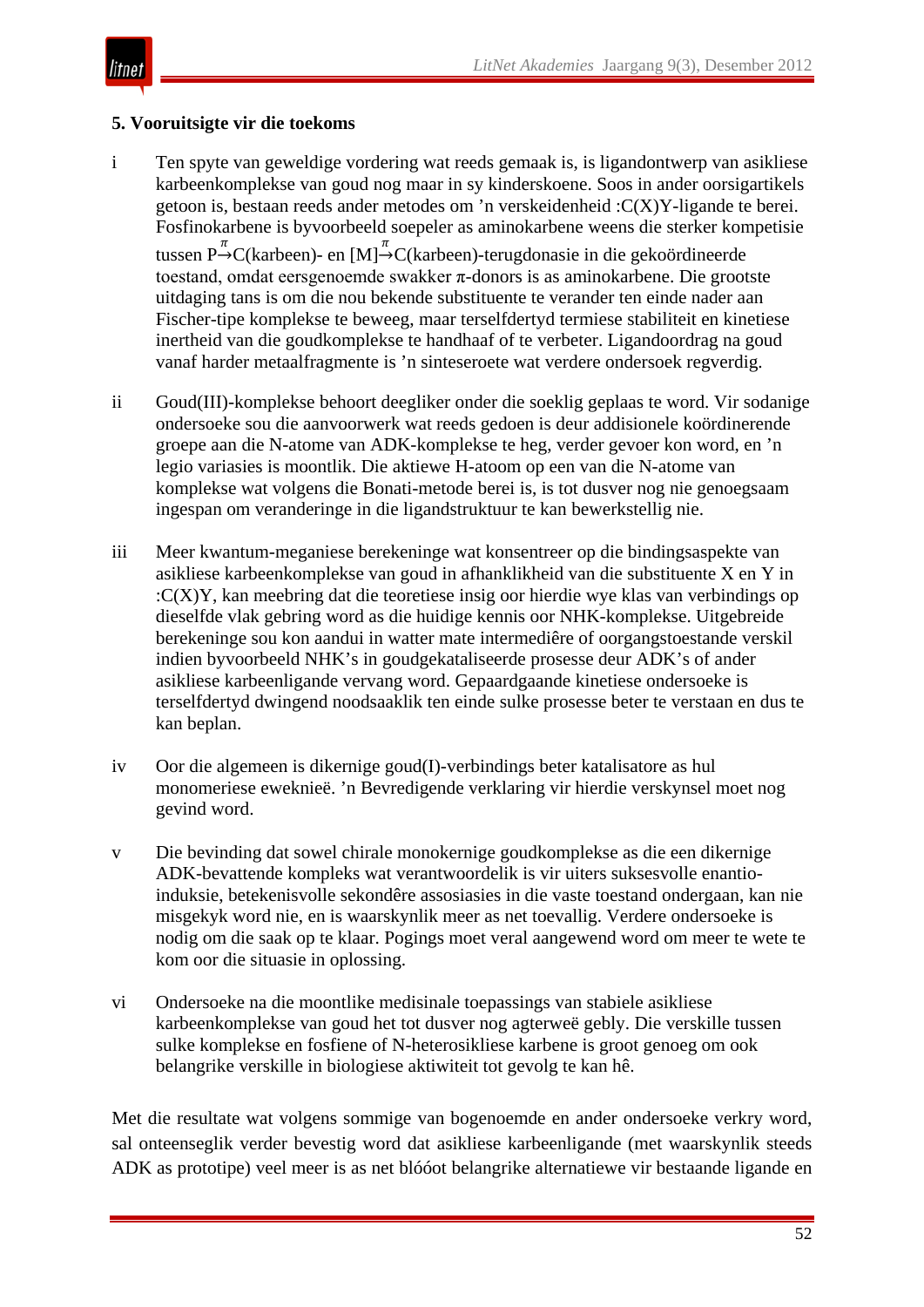# **5. Vooruitsigte vir die toekoms**

- i Ten spyte van geweldige vordering wat reeds gemaak is, is ligandontwerp van asikliese karbeenkomplekse van goud nog maar in sy kinderskoene. Soos in ander oorsigartikels getoon is, bestaan reeds ander metodes om 'n verskeidenheid :C(X)Y-ligande te berei. Fosfinokarbene is byvoorbeeld soepeler as aminokarbene weens die sterker kompetisie tussen  $P \rightarrow C$ (karbeen)- en [M] $\rightarrow C$ (karbeen)-terugdonasie in die gekoördineerde toestand, omdat eersgenoemde swakker π-donors is as aminokarbene. Die grootste uitdaging tans is om die nou bekende substituente te verander ten einde nader aan Fischer-tipe komplekse te beweeg, maar terselfdertyd termiese stabiliteit en kinetiese inertheid van die goudkomplekse te handhaaf of te verbeter. Ligandoordrag na goud vanaf harder metaalfragmente is 'n sinteseroete wat verdere ondersoek regverdig.
- ii Goud(III)-komplekse behoort deegliker onder die soeklig geplaas te word. Vir sodanige ondersoeke sou die aanvoorwerk wat reeds gedoen is deur addisionele koördinerende groepe aan die N-atome van ADK-komplekse te heg, verder gevoer kon word, en 'n legio variasies is moontlik. Die aktiewe H-atoom op een van die N-atome van komplekse wat volgens die Bonati-metode berei is, is tot dusver nog nie genoegsaam ingespan om veranderinge in die ligandstruktuur te kan bewerkstellig nie.
- iii Meer kwantum-meganiese berekeninge wat konsentreer op die bindingsaspekte van asikliese karbeenkomplekse van goud in afhanklikheid van die substituente X en Y in :C(X)Y, kan meebring dat die teoretiese insig oor hierdie wye klas van verbindings op dieselfde vlak gebring word as die huidige kennis oor NHK-komplekse. Uitgebreide berekeninge sou kon aandui in watter mate intermediêre of oorgangstoestande verskil indien byvoorbeeld NHK's in goudgekataliseerde prosesse deur ADK's of ander asikliese karbeenligande vervang word. Gepaardgaande kinetiese ondersoeke is terselfdertyd dwingend noodsaaklik ten einde sulke prosesse beter te verstaan en dus te kan beplan.
- iv Oor die algemeen is dikernige goud(I)-verbindings beter katalisatore as hul monomeriese eweknieë. 'n Bevredigende verklaring vir hierdie verskynsel moet nog gevind word.
- v Die bevinding dat sowel chirale monokernige goudkomplekse as die een dikernige ADK-bevattende kompleks wat verantwoordelik is vir uiters suksesvolle enantioinduksie, betekenisvolle sekondêre assosiasies in die vaste toestand ondergaan, kan nie misgekyk word nie, en is waarskynlik meer as net toevallig. Verdere ondersoeke is nodig om die saak op te klaar. Pogings moet veral aangewend word om meer te wete te kom oor die situasie in oplossing.
- vi Ondersoeke na die moontlike medisinale toepassings van stabiele asikliese karbeenkomplekse van goud het tot dusver nog agterweë gebly. Die verskille tussen sulke komplekse en fosfiene of N-heterosikliese karbene is groot genoeg om ook belangrike verskille in biologiese aktiwiteit tot gevolg te kan hê.

Met die resultate wat volgens sommige van bogenoemde en ander ondersoeke verkry word, sal onteenseglik verder bevestig word dat asikliese karbeenligande (met waarskynlik steeds ADK as prototipe) veel meer is as net blóóot belangrike alternatiewe vir bestaande ligande en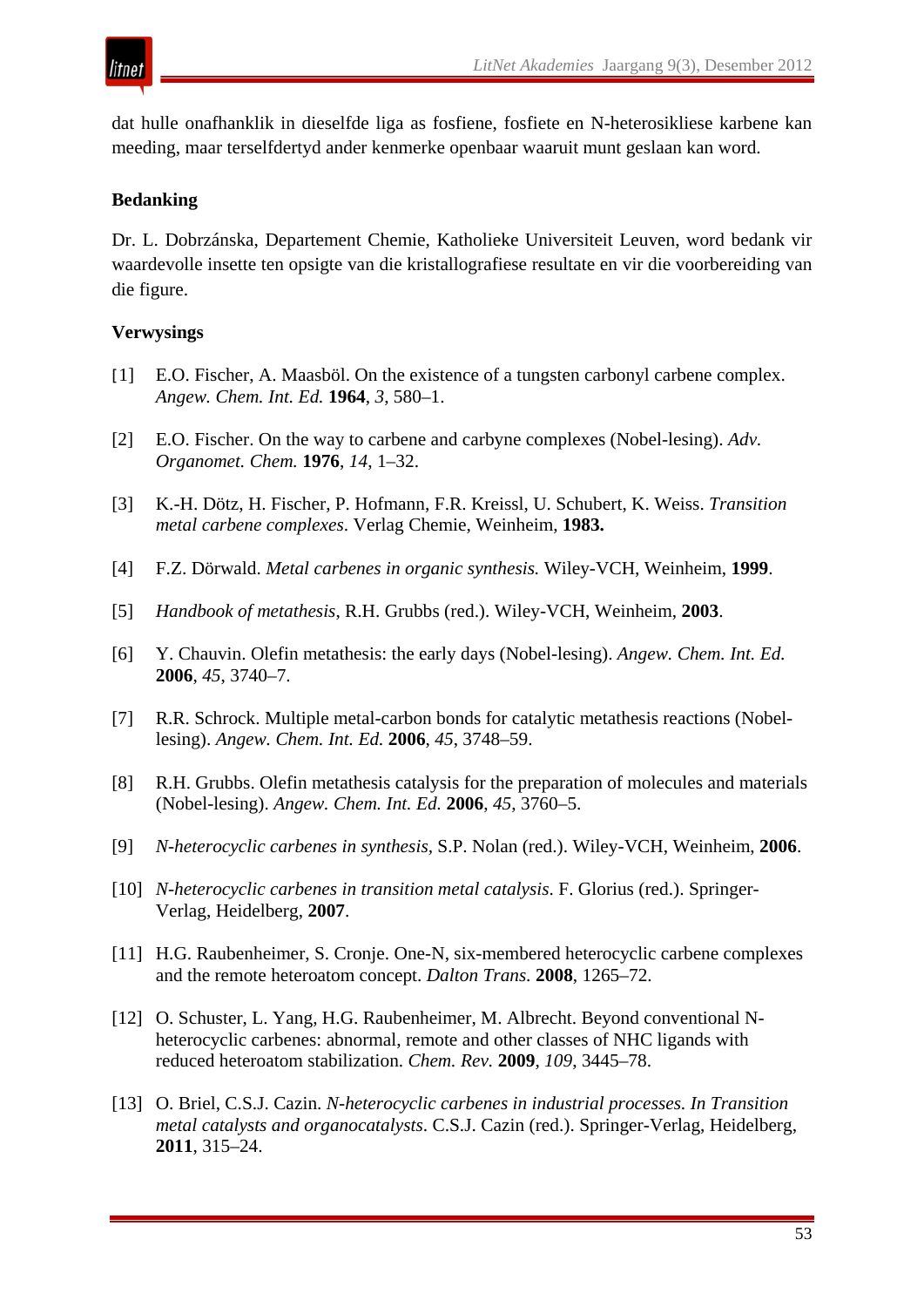

dat hulle onafhanklik in dieselfde liga as fosfiene, fosfiete en N-heterosikliese karbene kan meeding, maar terselfdertyd ander kenmerke openbaar waaruit munt geslaan kan word.

# **Bedanking**

Dr. L. Dobrzánska, Departement Chemie, Katholieke Universiteit Leuven, word bedank vir waardevolle insette ten opsigte van die kristallografiese resultate en vir die voorbereiding van die figure.

# **Verwysings**

- [1] E.O. Fischer, A. Maasböl. On the existence of a tungsten carbonyl carbene complex. *Angew. Chem. Int. Ed.* **1964**, *3*, 580–1.
- [2] E.O. Fischer. On the way to carbene and carbyne complexes (Nobel-lesing). *Adv. Organomet. Chem.* **1976**, *14*, 1–32.
- [3] K.-H. Dötz, H. Fischer, P. Hofmann, F.R. Kreissl, U. Schubert, K. Weiss. *Transition metal carbene complexes*. Verlag Chemie, Weinheim, **1983.**
- [4] F.Z. Dörwald. *Metal carbenes in organic synthesis.* Wiley-VCH, Weinheim, **1999**.
- [5] *Handbook of metathesis*, R.H. Grubbs (red.). Wiley-VCH, Weinheim, **2003**.
- [6] Y. Chauvin. Olefin metathesis: the early days (Nobel-lesing). *Angew. Chem. Int. Ed.*  **2006**, *45*, 3740–7.
- [7] R.R. Schrock. Multiple metal-carbon bonds for catalytic metathesis reactions (Nobellesing). *Angew. Chem. Int. Ed.* **2006**, *45*, 3748–59.
- [8] R.H. Grubbs. Olefin metathesis catalysis for the preparation of molecules and materials (Nobel-lesing). *Angew. Chem. Int. Ed.* **2006**, *45*, 3760–5.
- [9] *N-heterocyclic carbenes in synthesis,* S.P. Nolan (red.). Wiley-VCH, Weinheim, **2006**.
- [10] *N-heterocyclic carbenes in transition metal catalysis*. F. Glorius (red.). Springer-Verlag, Heidelberg, **2007**.
- [11] H.G. Raubenheimer, S. Cronje. One-N, six-membered heterocyclic carbene complexes and the remote heteroatom concept. *Dalton Trans.* **2008**, 1265–72.
- [12] O. Schuster, L. Yang, H.G. Raubenheimer, M. Albrecht. Beyond conventional Nheterocyclic carbenes: abnormal, remote and other classes of NHC ligands with reduced heteroatom stabilization. *Chem. Rev.* **2009**, *109*, 3445–78.
- [13] O. Briel, C.S.J. Cazin. *N-heterocyclic carbenes in industrial processes. In Transition metal catalysts and organocatalysts*. C.S.J. Cazin (red.). Springer-Verlag, Heidelberg, **2011**, 315–24.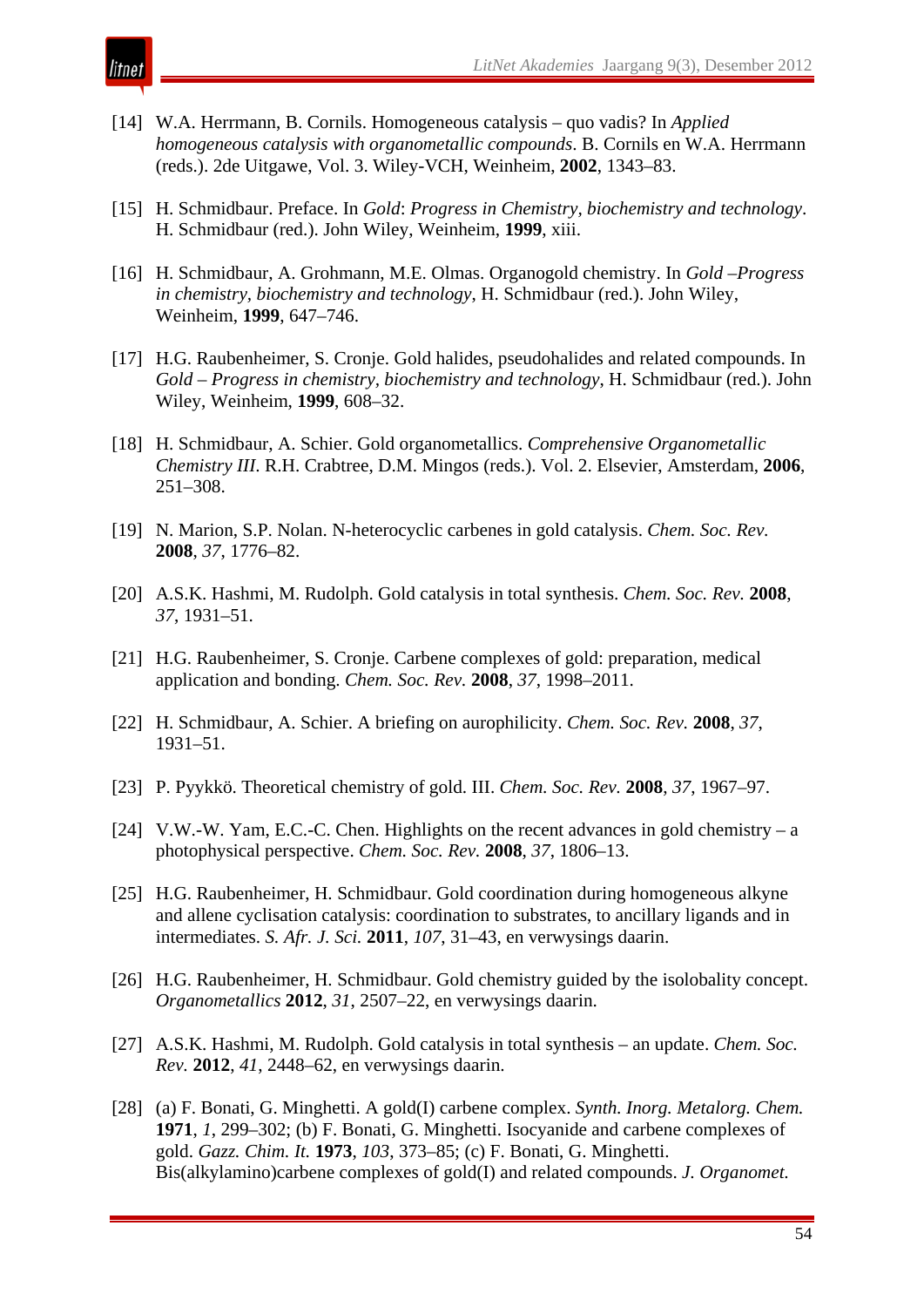[14] W.A. Herrmann, B. Cornils. Homogeneous catalysis – quo vadis? In *Applied homogeneous catalysis with organometallic compounds*. B. Cornils en W.A. Herrmann (reds.). 2de Uitgawe, Vol. 3. Wiley-VCH, Weinheim, **2002**, 1343–83.

itnet

- [15] H. Schmidbaur. Preface. In *Gold*: *Progress in Chemistry, biochemistry and technology*. H. Schmidbaur (red.). John Wiley, Weinheim, **1999**, xiii.
- [16] H. Schmidbaur, A. Grohmann, M.E. Olmas. Organogold chemistry. In *Gold –Progress in chemistry, biochemistry and technology*, H. Schmidbaur (red.). John Wiley, Weinheim, **1999**, 647–746.
- [17] H.G. Raubenheimer, S. Cronje. Gold halides, pseudohalides and related compounds. In *Gold – Progress in chemistry, biochemistry and technology*, H. Schmidbaur (red.). John Wiley, Weinheim, **1999**, 608–32.
- [18] H. Schmidbaur, A. Schier. Gold organometallics. *Comprehensive Organometallic Chemistry III*. R.H. Crabtree, D.M. Mingos (reds.). Vol. 2. Elsevier, Amsterdam, **2006**, 251–308.
- [19] N. Marion, S.P. Nolan. N-heterocyclic carbenes in gold catalysis. *Chem. Soc. Rev.*  **2008**, *37*, 1776–82.
- [20] A.S.K. Hashmi, M. Rudolph. Gold catalysis in total synthesis. *Chem. Soc. Rev.* **2008**, *37*, 1931–51.
- [21] H.G. Raubenheimer, S. Cronje. Carbene complexes of gold: preparation, medical application and bonding. *Chem. Soc. Rev.* **2008**, *37*, 1998–2011.
- [22] H. Schmidbaur, A. Schier. A briefing on aurophilicity. *Chem. Soc. Rev.* **2008**, *37*, 1931–51.
- [23] P. Pyykkö. Theoretical chemistry of gold. III. *Chem. Soc. Rev.* **2008**, *37*, 1967–97.
- [24] V.W.-W. Yam, E.C.-C. Chen. Highlights on the recent advances in gold chemistry a photophysical perspective. *Chem. Soc. Rev.* **2008**, *37*, 1806–13.
- [25] H.G. Raubenheimer, H. Schmidbaur. Gold coordination during homogeneous alkyne and allene cyclisation catalysis: coordination to substrates, to ancillary ligands and in intermediates. *S. Afr. J. Sci.* **2011**, *107*, 31–43, en verwysings daarin.
- [26] H.G. Raubenheimer, H. Schmidbaur. Gold chemistry guided by the isolobality concept. *Organometallics* **2012**, *31*, 2507–22, en verwysings daarin.
- [27] A.S.K. Hashmi, M. Rudolph. Gold catalysis in total synthesis an update. *Chem. Soc. Rev.* **2012**, *41*, 2448–62, en verwysings daarin.
- [28] (a) F. Bonati, G. Minghetti. A gold(I) carbene complex. *Synth. Inorg. Metalorg. Chem.*  **1971**, *1*, 299–302; (b) F. Bonati, G. Minghetti. Isocyanide and carbene complexes of gold. *Gazz. Chim. It.* **1973**, *103*, 373–85; (c) F. Bonati, G. Minghetti. Bis(alkylamino)carbene complexes of gold(I) and related compounds. *J. Organomet.*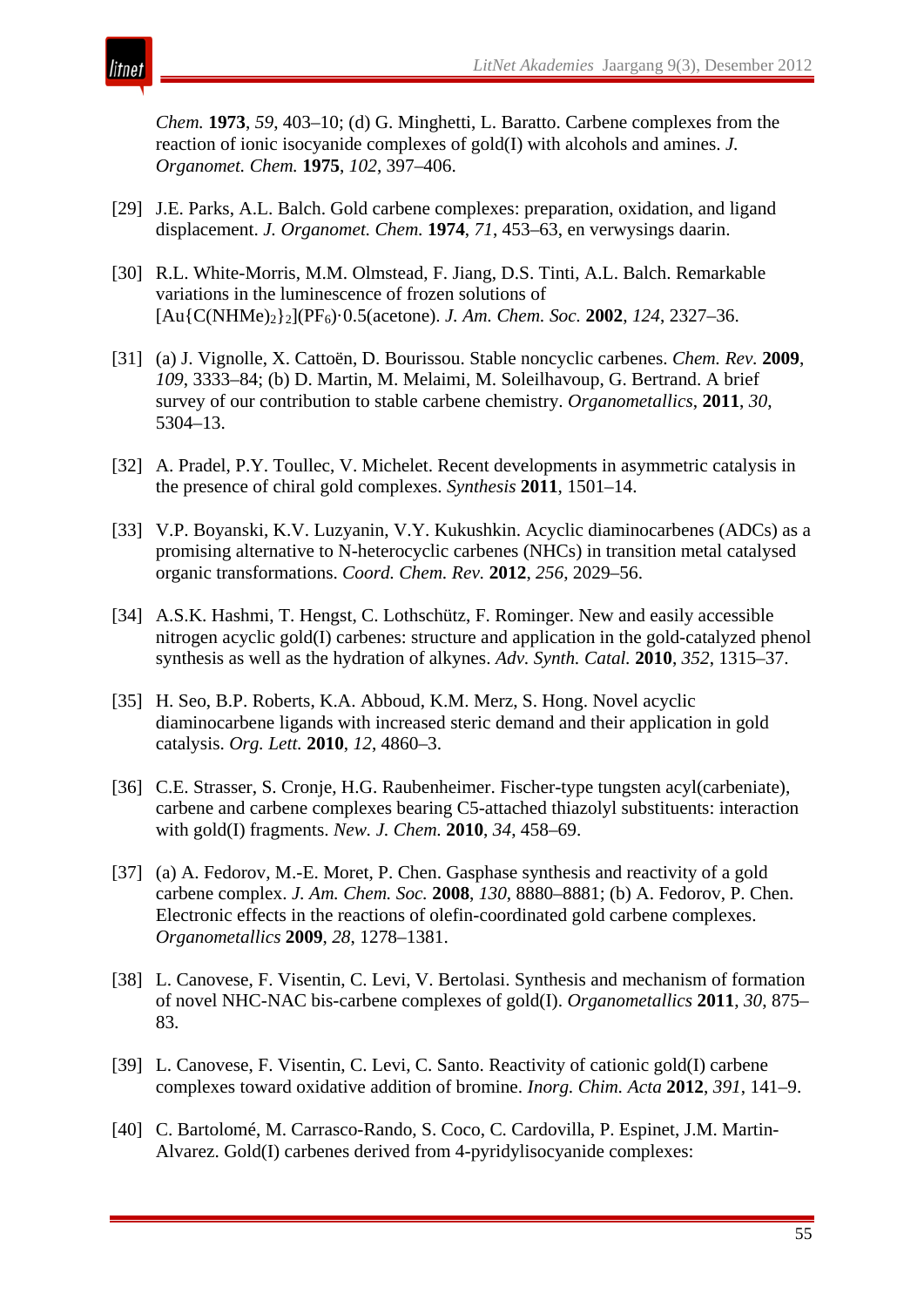*Chem.* **1973**, *59*, 403–10; (d) G. Minghetti, L. Baratto. Carbene complexes from the reaction of ionic isocyanide complexes of gold(I) with alcohols and amines. *J. Organomet. Chem.* **1975**, *102*, 397–406.

- [29] J.E. Parks, A.L. Balch. Gold carbene complexes: preparation, oxidation, and ligand displacement. *J. Organomet. Chem.* **1974**, *71*, 453–63, en verwysings daarin.
- [30] R.L. White-Morris, M.M. Olmstead, F. Jiang, D.S. Tinti, A.L. Balch. Remarkable variations in the luminescence of frozen solutions of [Au{C(NHMe)2}2](PF6)·0.5(acetone). *J. Am. Chem. Soc.* **2002**, *124*, 2327–36.
- [31] (a) J. Vignolle, X. Cattoën, D. Bourissou. Stable noncyclic carbenes. *Chem. Rev.* **2009**, *109*, 3333–84; (b) D. Martin, M. Melaimi, M. Soleilhavoup, G. Bertrand. A brief survey of our contribution to stable carbene chemistry. *Organometallics*, **2011**, *30*, 5304–13.
- [32] A. Pradel, P.Y. Toullec, V. Michelet. Recent developments in asymmetric catalysis in the presence of chiral gold complexes. *Synthesis* **2011**, 1501–14.
- [33] V.P. Boyanski, K.V. Luzyanin, V.Y. Kukushkin. Acyclic diaminocarbenes (ADCs) as a promising alternative to N-heterocyclic carbenes (NHCs) in transition metal catalysed organic transformations. *Coord. Chem. Rev.* **2012**, *256*, 2029–56.
- [34] A.S.K. Hashmi, T. Hengst, C. Lothschütz, F. Rominger. New and easily accessible nitrogen acyclic gold(I) carbenes: structure and application in the gold-catalyzed phenol synthesis as well as the hydration of alkynes. *Adv. Synth. Catal.* **2010**, *352*, 1315–37.
- [35] H. Seo, B.P. Roberts, K.A. Abboud, K.M. Merz, S. Hong. Novel acyclic diaminocarbene ligands with increased steric demand and their application in gold catalysis. *Org. Lett.* **2010**, *12*, 4860–3.
- [36] C.E. Strasser, S. Cronje, H.G. Raubenheimer. Fischer-type tungsten acyl(carbeniate), carbene and carbene complexes bearing C5-attached thiazolyl substituents: interaction with gold(I) fragments. *New. J. Chem.* **2010**, *34*, 458–69.
- [37] (a) A. Fedorov, M.-E. Moret, P. Chen. Gasphase synthesis and reactivity of a gold carbene complex. *J. Am. Chem. Soc.* **2008**, *130*, 8880–8881; (b) A. Fedorov, P. Chen. Electronic effects in the reactions of olefin-coordinated gold carbene complexes. *Organometallics* **2009**, *28*, 1278–1381.
- [38] L. Canovese, F. Visentin, C. Levi, V. Bertolasi. Synthesis and mechanism of formation of novel NHC-NAC bis-carbene complexes of gold(I). *Organometallics* **2011**, *30*, 875– 83.
- [39] L. Canovese, F. Visentin, C. Levi, C. Santo. Reactivity of cationic gold(I) carbene complexes toward oxidative addition of bromine. *Inorg. Chim. Acta* **2012**, *391*, 141–9.
- [40] C. Bartolomé, M. Carrasco-Rando, S. Coco, C. Cardovilla, P. Espinet, J.M. Martin-Alvarez. Gold(I) carbenes derived from 4-pyridylisocyanide complexes: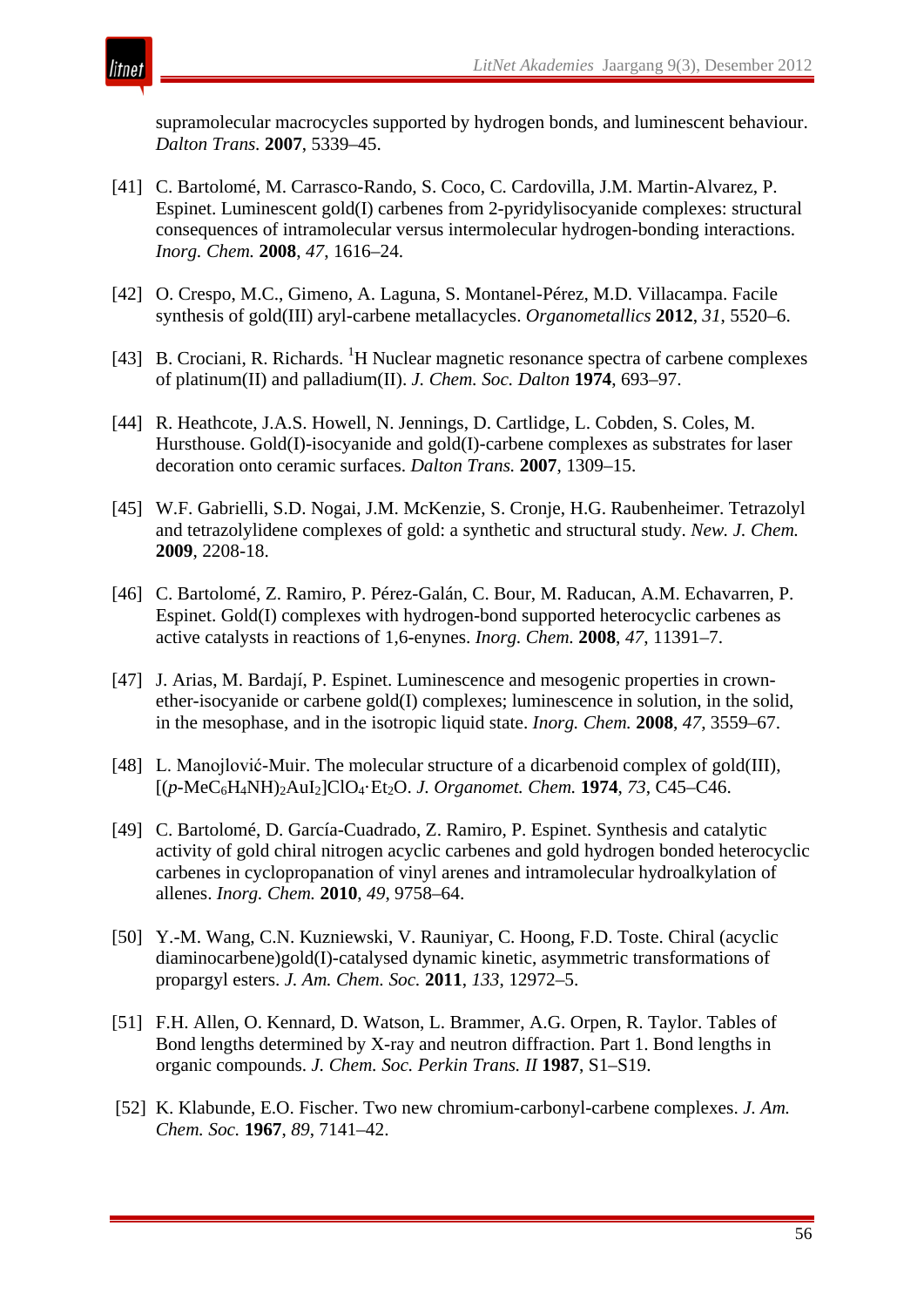supramolecular macrocycles supported by hydrogen bonds, and luminescent behaviour. *Dalton Trans.* **2007**, 5339–45.

- [41] C. Bartolomé, M. Carrasco-Rando, S. Coco, C. Cardovilla, J.M. Martin-Alvarez, P. Espinet. Luminescent gold(I) carbenes from 2-pyridylisocyanide complexes: structural consequences of intramolecular versus intermolecular hydrogen-bonding interactions. *Inorg. Chem.* **2008**, *47*, 1616–24.
- [42] O. Crespo, M.C., Gimeno, A. Laguna, S. Montanel-Pérez, M.D. Villacampa. Facile synthesis of gold(III) aryl-carbene metallacycles. *Organometallics* **2012**, *31*, 5520–6.
- [43] B. Crociani, R. Richards. <sup>1</sup>H Nuclear magnetic resonance spectra of carbene complexes of platinum(II) and palladium(II). *J. Chem. Soc. Dalton* **1974**, 693–97.
- [44] R. Heathcote, J.A.S. Howell, N. Jennings, D. Cartlidge, L. Cobden, S. Coles, M. Hursthouse. Gold(I)-isocyanide and gold(I)-carbene complexes as substrates for laser decoration onto ceramic surfaces. *Dalton Trans.* **2007**, 1309–15.
- [45] W.F. Gabrielli, S.D. Nogai, J.M. McKenzie, S. Cronje, H.G. Raubenheimer. Tetrazolyl and tetrazolylidene complexes of gold: a synthetic and structural study. *New. J. Chem.* **2009**, 2208-18.
- [46] C. Bartolomé, Z. Ramiro, P. Pérez-Galán, C. Bour, M. Raducan, A.M. Echavarren, P. Espinet. Gold(I) complexes with hydrogen-bond supported heterocyclic carbenes as active catalysts in reactions of 1,6-enynes. *Inorg. Chem.* **2008**, *47*, 11391–7.
- [47] J. Arias, M. Bardají, P. Espinet. Luminescence and mesogenic properties in crownether-isocyanide or carbene gold(I) complexes; luminescence in solution, in the solid, in the mesophase, and in the isotropic liquid state. *Inorg. Chem.* **2008**, *47*, 3559–67.
- [48] L. Manojlović-Muir. The molecular structure of a dicarbenoid complex of gold(III), [(*p*-MeC6H4NH)2AuI2]ClO4·Et2O. *J. Organomet. Chem.* **1974**, *73*, C45–C46.
- [49] C. Bartolomé, D. García-Cuadrado, Z. Ramiro, P. Espinet. Synthesis and catalytic activity of gold chiral nitrogen acyclic carbenes and gold hydrogen bonded heterocyclic carbenes in cyclopropanation of vinyl arenes and intramolecular hydroalkylation of allenes. *Inorg. Chem.* **2010**, *49*, 9758–64.
- [50] Y.-M. Wang, C.N. Kuzniewski, V. Rauniyar, C. Hoong, F.D. Toste. Chiral (acyclic diaminocarbene)gold(I)-catalysed dynamic kinetic, asymmetric transformations of propargyl esters. *J. Am. Chem. Soc.* **2011**, *133*, 12972–5.
- [51] F.H. Allen, O. Kennard, D. Watson, L. Brammer, A.G. Orpen, R. Taylor. Tables of Bond lengths determined by X-ray and neutron diffraction. Part 1. Bond lengths in organic compounds. *J. Chem. Soc. Perkin Trans. II* **1987**, S1–S19.
- [52] K. Klabunde, E.O. Fischer. [Two new chromium-carbonyl-carbene complexes.](http://pubs.acs.org/doi/abs/10.1021/ja01002a070) *J. Am. Chem. Soc.* **1967**, *89*, 7141–42.